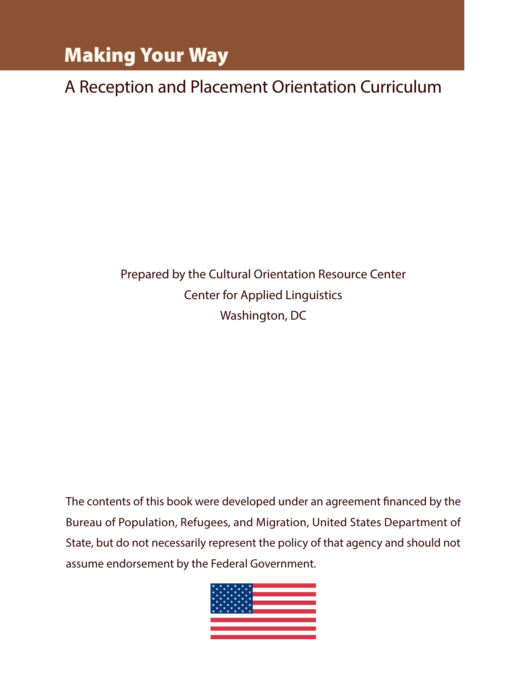# Making Your Way

A Reception and Placement Orientation Curriculum

Prepared by the Cultural Orientation Resource Center Center for Applied Linguistics Washington, DC

The contents of this book were developed under an agreement financed by the Bureau of Population, Refugees, and Migration, United States Department of State, but do not necessarily represent the policy of that agency and should not assume endorsement by the Federal Government.

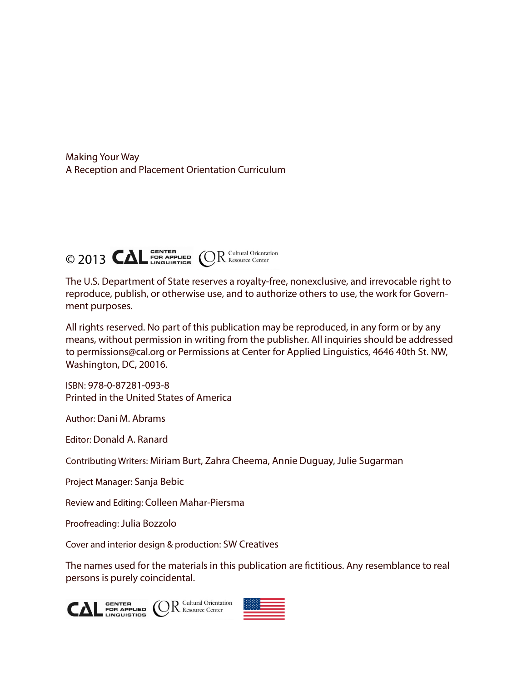Making Your Way A Reception and Placement Orientation Curriculum



The U.S. Department of State reserves a royalty-free, nonexclusive, and irrevocable right to reproduce, publish, or otherwise use, and to authorize others to use, the work for Government purposes.

All rights reserved. No part of this publication may be reproduced, in any form or by any means, without permission in writing from the publisher. All inquiries should be addressed to permissions@cal.org or Permissions at Center for Applied Linguistics, 4646 40th St. NW, Washington, DC, 20016.

ISBN: 978-0-87281-093-8 Printed in the United States of America

Author: Dani M. Abrams

Editor: Donald A. Ranard

Contributing Writers: Miriam Burt, Zahra Cheema, Annie Duguay, Julie Sugarman

Project Manager: Sanja Bebic

Review and Editing: Colleen Mahar-Piersma

Proofreading: Julia Bozzolo

Cover and interior design & production: SW Creatives

The names used for the materials in this publication are fictitious. Any resemblance to real persons is purely coincidental.



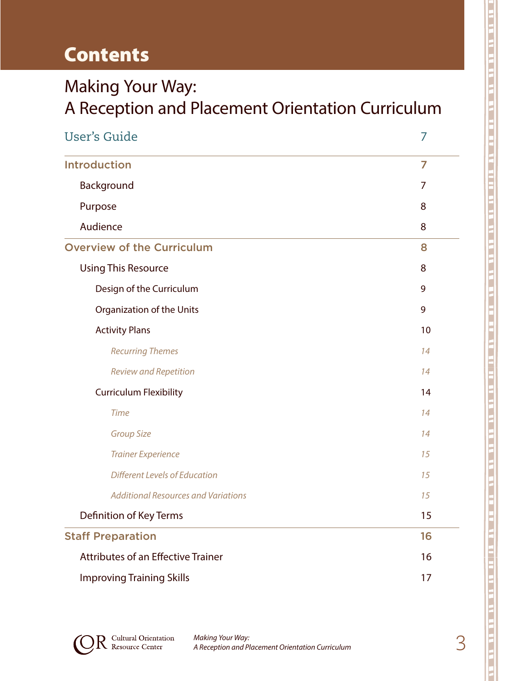# **Contents**

# Making Your Way: A Reception and Placement Orientation Curriculum

| <b>User's Guide</b>                        |    |
|--------------------------------------------|----|
| <b>Introduction</b>                        | 7  |
| Background                                 | 7  |
| Purpose                                    | 8  |
| Audience                                   | 8  |
| <b>Overview of the Curriculum</b>          | 8  |
| <b>Using This Resource</b>                 | 8  |
| Design of the Curriculum                   | 9  |
| Organization of the Units                  | 9  |
| <b>Activity Plans</b>                      | 10 |
| <b>Recurring Themes</b>                    | 14 |
| <b>Review and Repetition</b>               | 14 |
| <b>Curriculum Flexibility</b>              | 14 |
| <b>Time</b>                                | 14 |
| <b>Group Size</b>                          | 14 |
| <b>Trainer Experience</b>                  | 15 |
| Different Levels of Education              | 15 |
| <b>Additional Resources and Variations</b> | 15 |
| Definition of Key Terms                    | 15 |
| <b>Staff Preparation</b>                   | 16 |
| <b>Attributes of an Effective Trainer</b>  | 16 |
| <b>Improving Training Skills</b>           | 17 |

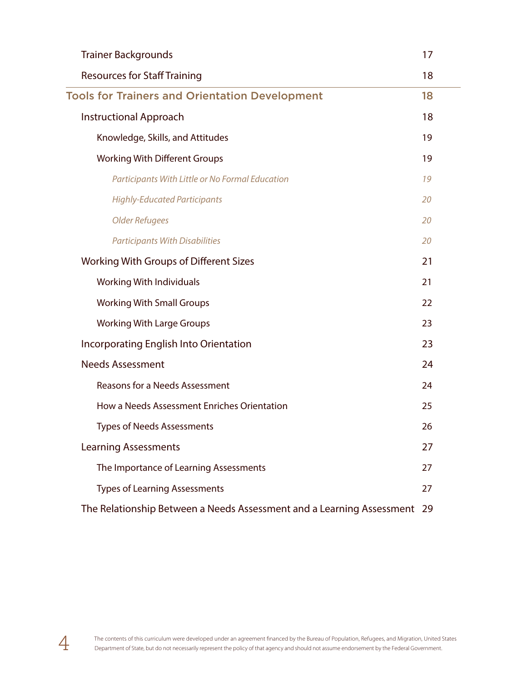| <b>Trainer Backgrounds</b>                                               | 17 |
|--------------------------------------------------------------------------|----|
| <b>Resources for Staff Training</b>                                      | 18 |
| <b>Tools for Trainers and Orientation Development</b>                    | 18 |
| <b>Instructional Approach</b>                                            | 18 |
| Knowledge, Skills, and Attitudes                                         | 19 |
| <b>Working With Different Groups</b>                                     | 19 |
| Participants With Little or No Formal Education                          | 19 |
| <b>Highly-Educated Participants</b>                                      | 20 |
| <b>Older Refugees</b>                                                    | 20 |
| <b>Participants With Disabilities</b>                                    | 20 |
| <b>Working With Groups of Different Sizes</b>                            | 21 |
| <b>Working With Individuals</b>                                          | 21 |
| <b>Working With Small Groups</b>                                         | 22 |
| <b>Working With Large Groups</b>                                         | 23 |
| Incorporating English Into Orientation                                   | 23 |
| <b>Needs Assessment</b>                                                  | 24 |
| <b>Reasons for a Needs Assessment</b>                                    | 24 |
| How a Needs Assessment Enriches Orientation                              | 25 |
| <b>Types of Needs Assessments</b>                                        | 26 |
| <b>Learning Assessments</b>                                              | 27 |
| The Importance of Learning Assessments                                   | 27 |
| <b>Types of Learning Assessments</b>                                     | 27 |
| The Relationship Between a Needs Assessment and a Learning Assessment 29 |    |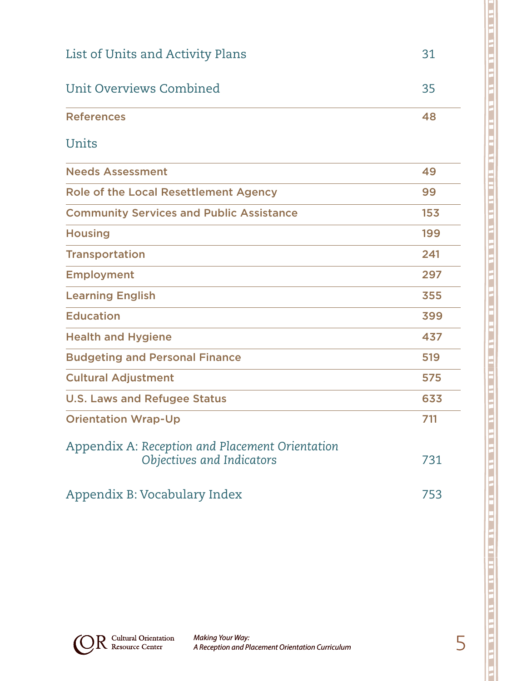| List of Units and Activity Plans                                             | 31  |
|------------------------------------------------------------------------------|-----|
| Unit Overviews Combined                                                      | 35  |
| <b>References</b>                                                            | 48  |
| Units                                                                        |     |
| <b>Needs Assessment</b>                                                      | 49  |
| Role of the Local Resettlement Agency                                        | 99  |
| <b>Community Services and Public Assistance</b>                              | 153 |
| <b>Housing</b>                                                               | 199 |
| <b>Transportation</b>                                                        | 241 |
| <b>Employment</b>                                                            | 297 |
| <b>Learning English</b>                                                      | 355 |
| <b>Education</b>                                                             | 399 |
| <b>Health and Hygiene</b>                                                    | 437 |
| <b>Budgeting and Personal Finance</b>                                        | 519 |
| <b>Cultural Adjustment</b>                                                   | 575 |
| <b>U.S. Laws and Refugee Status</b>                                          | 633 |
| <b>Orientation Wrap-Up</b>                                                   | 711 |
| Appendix A: Reception and Placement Orientation<br>Objectives and Indicators | 731 |
| Appendix B: Vocabulary Index                                                 | 753 |

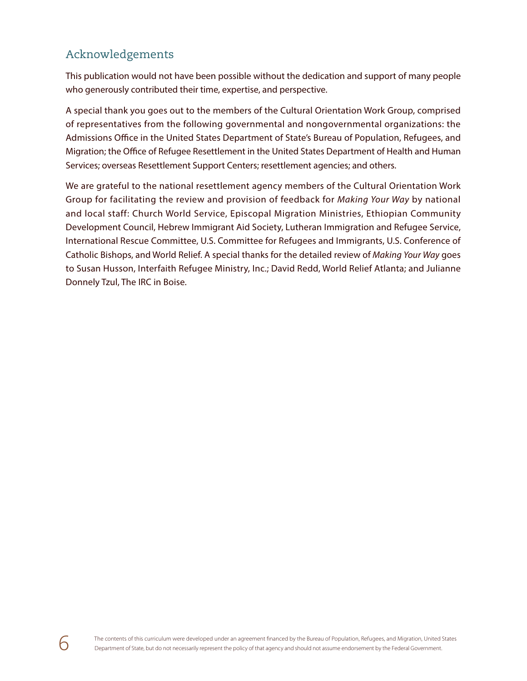## Acknowledgements

This publication would not have been possible without the dedication and support of many people who generously contributed their time, expertise, and perspective.

A special thank you goes out to the members of the Cultural Orientation Work Group, comprised of representatives from the following governmental and nongovernmental organizations: the Admissions Office in the United States Department of State's Bureau of Population, Refugees, and Migration; the Office of Refugee Resettlement in the United States Department of Health and Human Services; overseas Resettlement Support Centers; resettlement agencies; and others.

We are grateful to the national resettlement agency members of the Cultural Orientation Work Group for facilitating the review and provision of feedback for *Making Your Way* by national and local staff: Church World Service, Episcopal Migration Ministries, Ethiopian Community Development Council, Hebrew Immigrant Aid Society, Lutheran Immigration and Refugee Service, International Rescue Committee, U.S. Committee for Refugees and Immigrants, U.S. Conference of Catholic Bishops, and World Relief. A special thanks for the detailed review of *Making Your Way* goes to Susan Husson, Interfaith Refugee Ministry, Inc.; David Redd, World Relief Atlanta; and Julianne Donnely Tzul, The IRC in Boise.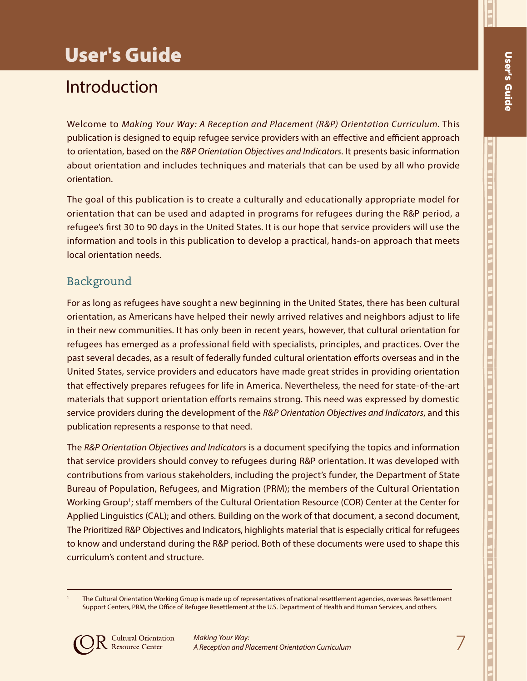7

וב אותו את היה את היה של את היה את היה את היה את היה את היה את היה את היה את היה את היה את היה היה היה היה היה

# User's Guide

# Introduction

Welcome to *Making Your Way: A Reception and Placement (R&P) Orientation Curriculum.* This publication is designed to equip refugee service providers with an effective and efficient approach to orientation, based on the *R&P Orientation Objectives and Indicators*. It presents basic information about orientation and includes techniques and materials that can be used by all who provide orientation.

The goal of this publication is to create a culturally and educationally appropriate model for orientation that can be used and adapted in programs for refugees during the R&P period, a refugee's first 30 to 90 days in the United States. It is our hope that service providers will use the information and tools in this publication to develop a practical, hands-on approach that meets local orientation needs.

## Background

For as long as refugees have sought a new beginning in the United States, there has been cultural orientation, as Americans have helped their newly arrived relatives and neighbors adjust to life in their new communities. It has only been in recent years, however, that cultural orientation for refugees has emerged as a professional field with specialists, principles, and practices. Over the past several decades, as a result of federally funded cultural orientation efforts overseas and in the United States, service providers and educators have made great strides in providing orientation that effectively prepares refugees for life in America. Nevertheless, the need for state-of-the-art materials that support orientation efforts remains strong. This need was expressed by domestic service providers during the development of the *R&P Orientation Objectives and Indicators*, and this publication represents a response to that need.

The *R&P Orientation Objectives and Indicators* is a document specifying the topics and information that service providers should convey to refugees during R&P orientation. It was developed with contributions from various stakeholders, including the project's funder, the Department of State Bureau of Population, Refugees, and Migration (PRM); the members of the Cultural Orientation Working Group<sup>1</sup>; staff members of the Cultural Orientation Resource (COR) Center at the Center for Applied Linguistics (CAL); and others. Building on the work of that document, a second document, The Prioritized R&P Objectives and Indicators, highlights material that is especially critical for refugees to know and understand during the R&P period. Both of these documents were used to shape this curriculum's content and structure.

The Cultural Orientation Working Group is made up of representatives of national resettlement agencies, overseas Resettlement Support Centers, PRM, the Office of Refugee Resettlement at the U.S. Department of Health and Human Services, and others.

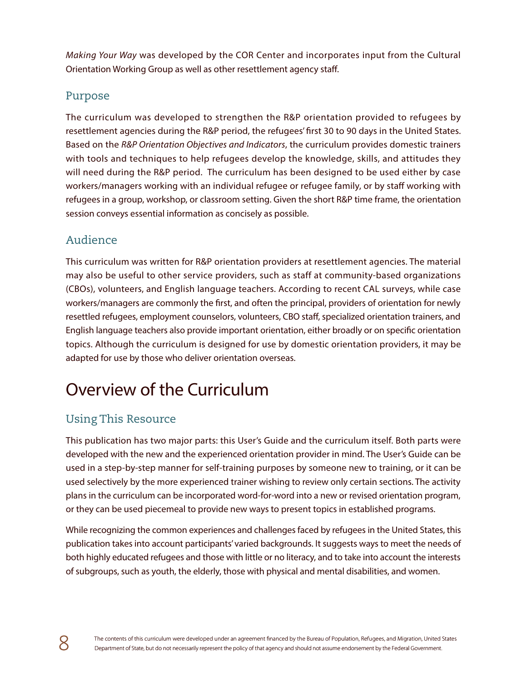*Making Your Way* was developed by the COR Center and incorporates input from the Cultural Orientation Working Group as well as other resettlement agency staff.

### Purpose

The curriculum was developed to strengthen the R&P orientation provided to refugees by resettlement agencies during the R&P period, the refugees' first 30 to 90 days in the United States. Based on the *R&P Orientation Objectives and Indicators*, the curriculum provides domestic trainers with tools and techniques to help refugees develop the knowledge, skills, and attitudes they will need during the R&P period. The curriculum has been designed to be used either by case workers/managers working with an individual refugee or refugee family, or by staff working with refugees in a group, workshop, or classroom setting. Given the short R&P time frame, the orientation session conveys essential information as concisely as possible.

# Audience

This curriculum was written for R&P orientation providers at resettlement agencies. The material may also be useful to other service providers, such as staff at community-based organizations (CBOs), volunteers, and English language teachers. According to recent CAL surveys, while case workers/managers are commonly the first, and often the principal, providers of orientation for newly resettled refugees, employment counselors, volunteers, CBO staff, specialized orientation trainers, and English language teachers also provide important orientation, either broadly or on specific orientation topics. Although the curriculum is designed for use by domestic orientation providers, it may be adapted for use by those who deliver orientation overseas.

# Overview of the Curriculum

# Using This Resource

This publication has two major parts: this User's Guide and the curriculum itself. Both parts were developed with the new and the experienced orientation provider in mind. The User's Guide can be used in a step-by-step manner for self-training purposes by someone new to training, or it can be used selectively by the more experienced trainer wishing to review only certain sections. The activity plans in the curriculum can be incorporated word-for-word into a new or revised orientation program, or they can be used piecemeal to provide new ways to present topics in established programs.

While recognizing the common experiences and challenges faced by refugees in the United States, this publication takes into account participants' varied backgrounds. It suggests ways to meet the needs of both highly educated refugees and those with little or no literacy, and to take into account the interests of subgroups, such as youth, the elderly, those with physical and mental disabilities, and women.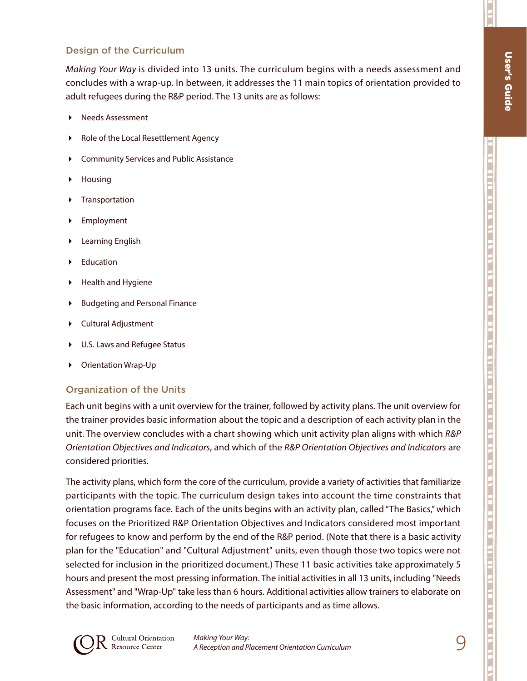П

#### Design of the Curriculum

*Making Your Way* is divided into 13 units. The curriculum begins with a needs assessment and concludes with a wrap-up. In between, it addresses the 11 main topics of orientation provided to adult refugees during the R&P period. The 13 units are as follows:

- Needs Assessment
- Role of the Local Resettlement Agency
- Community Services and Public Assistance
- Housing
- **F** Transportation
- Employment
- Learning English
- Education
- Health and Hygiene
- Budgeting and Personal Finance
- Cultural Adjustment
- U.S. Laws and Refugee Status
- Orientation Wrap-Up

#### Organization of the Units

Each unit begins with a unit overview for the trainer, followed by activity plans. The unit overview for the trainer provides basic information about the topic and a description of each activity plan in the unit. The overview concludes with a chart showing which unit activity plan aligns with which *R&P Orientation Objectives and Indicators*, and which of the *R&P Orientation Objectives and Indicators* are considered priorities.

The activity plans, which form the core of the curriculum, provide a variety of activities that familiarize participants with the topic. The curriculum design takes into account the time constraints that orientation programs face. Each of the units begins with an activity plan, called "The Basics," which focuses on the Prioritized R&P Orientation Objectives and Indicators considered most important for refugees to know and perform by the end of the R&P period. (Note that there is a basic activity plan for the "Education" and "Cultural Adjustment" units, even though those two topics were not selected for inclusion in the prioritized document.) These 11 basic activities take approximately 5 hours and present the most pressing information. The initial activities in all 13 units, including "Needs Assessment" and "Wrap-Up" take less than 6 hours. Additional activities allow trainers to elaborate on the basic information, according to the needs of participants and as time allows.

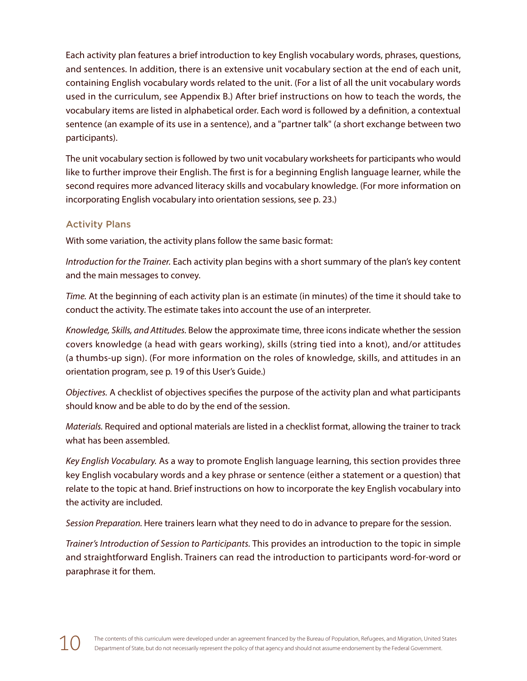Each activity plan features a brief introduction to key English vocabulary words, phrases, questions, and sentences. In addition, there is an extensive unit vocabulary section at the end of each unit, containing English vocabulary words related to the unit. (For a list of all the unit vocabulary words used in the curriculum, see Appendix B.) After brief instructions on how to teach the words, the vocabulary items are listed in alphabetical order. Each word is followed by a definition, a contextual sentence (an example of its use in a sentence), and a "partner talk" (a short exchange between two participants).

The unit vocabulary section is followed by two unit vocabulary worksheets for participants who would like to further improve their English. The first is for a beginning English language learner, while the second requires more advanced literacy skills and vocabulary knowledge. (For more information on incorporating English vocabulary into orientation sessions, see p. 23.)

#### Activity Plans

With some variation, the activity plans follow the same basic format:

*Introduction for the Trainer.* Each activity plan begins with a short summary of the plan's key content and the main messages to convey.

*Time.* At the beginning of each activity plan is an estimate (in minutes) of the time it should take to conduct the activity. The estimate takes into account the use of an interpreter.

*Knowledge, Skills, and Attitudes.* Below the approximate time, three icons indicate whether the session covers knowledge (a head with gears working), skills (string tied into a knot), and/or attitudes (a thumbs-up sign). (For more information on the roles of knowledge, skills, and attitudes in an orientation program, see p. 19 of this User's Guide.)

*Objectives.* A checklist of objectives specifies the purpose of the activity plan and what participants should know and be able to do by the end of the session.

*Materials.* Required and optional materials are listed in a checklist format, allowing the trainer to track what has been assembled.

*Key English Vocabulary.* As a way to promote English language learning, this section provides three key English vocabulary words and a key phrase or sentence (either a statement or a question) that relate to the topic at hand. Brief instructions on how to incorporate the key English vocabulary into the activity are included.

*Session Preparation.* Here trainers learn what they need to do in advance to prepare for the session.

*Trainer's Introduction of Session to Participants.* This provides an introduction to the topic in simple and straightforward English. Trainers can read the introduction to participants word-for-word or paraphrase it for them.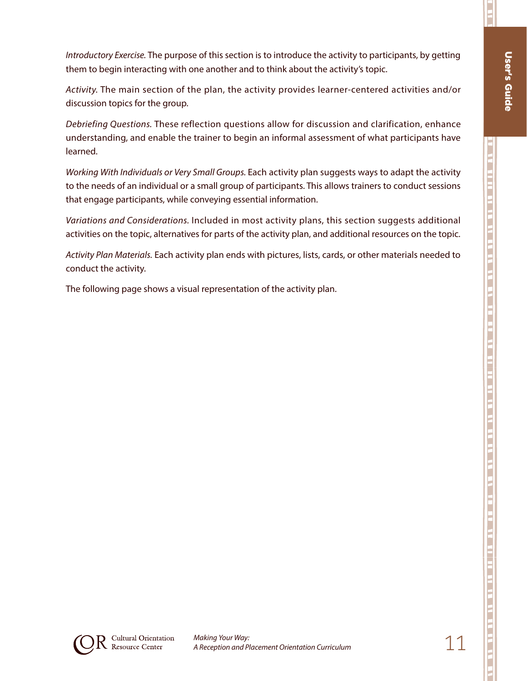П

*Introductory Exercise.* The purpose of this section is to introduce the activity to participants, by getting them to begin interacting with one another and to think about the activity's topic.

*Activity.* The main section of the plan, the activity provides learner-centered activities and/or discussion topics for the group.

*Debriefing Questions.* These reflection questions allow for discussion and clarification, enhance understanding, and enable the trainer to begin an informal assessment of what participants have learned.

*Working With Individuals or Very Small Groups.* Each activity plan suggests ways to adapt the activity to the needs of an individual or a small group of participants. This allows trainers to conduct sessions that engage participants, while conveying essential information.

*Variations and Considerations.* Included in most activity plans, this section suggests additional activities on the topic, alternatives for parts of the activity plan, and additional resources on the topic.

*Activity Plan Materials.* Each activity plan ends with pictures, lists, cards, or other materials needed to conduct the activity.

The following page shows a visual representation of the activity plan.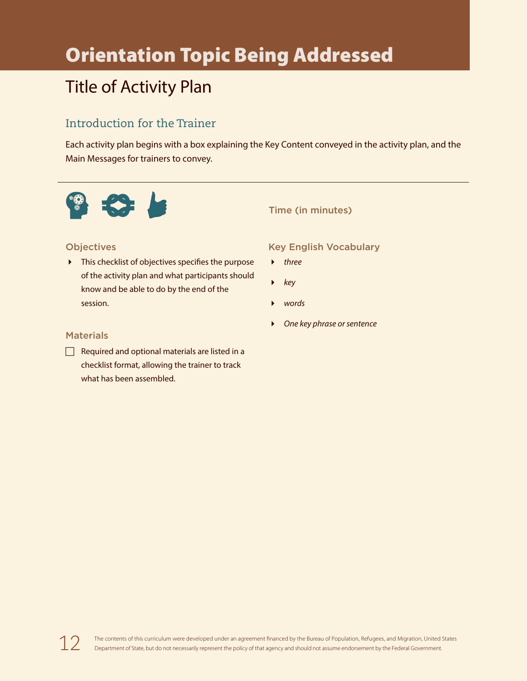# Orientation Topic Being Addressed

# Title of Activity Plan

## Introduction for the Trainer

Each activity plan begins with a box explaining the Key Content conveyed in the activity plan, and the Main Messages for trainers to convey.



#### Time (in minutes)

#### **Objectives**

 $\triangleright$  This checklist of objectives specifies the purpose of the activity plan and what participants should know and be able to do by the end of the session.

#### Key English Vocabulary

- *three*
- *key*
- *words*
- *One key phrase or sentence*

#### **Materials**

 $\Box$  Required and optional materials are listed in a checklist format, allowing the trainer to track what has been assembled.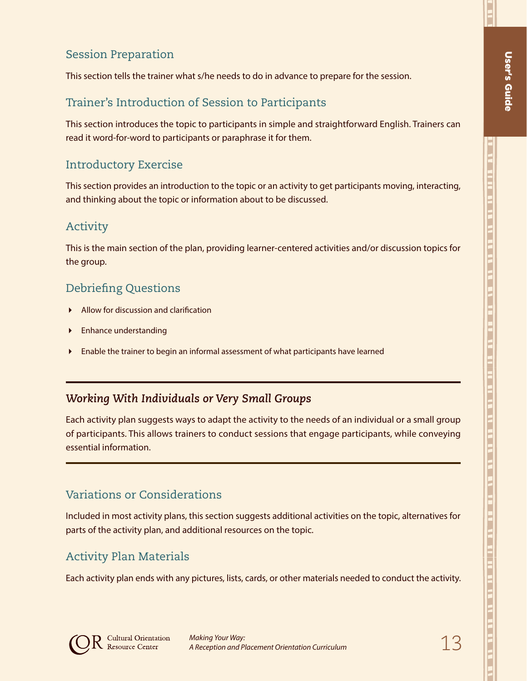## Session Preparation

This section tells the trainer what s/he needs to do in advance to prepare for the session.

## Trainer's Introduction of Session to Participants

This section introduces the topic to participants in simple and straightforward English. Trainers can read it word-for-word to participants or paraphrase it for them.

## Introductory Exercise

This section provides an introduction to the topic or an activity to get participants moving, interacting, and thinking about the topic or information about to be discussed.

### Activity

This is the main section of the plan, providing learner-centered activities and/or discussion topics for the group.

### Debriefing Questions

- Allow for discussion and clarification
- Enhance understanding
- Enable the trainer to begin an informal assessment of what participants have learned

### *Working With Individuals or Very Small Groups*

Each activity plan suggests ways to adapt the activity to the needs of an individual or a small group of participants. This allows trainers to conduct sessions that engage participants, while conveying essential information.

### Variations or Considerations

Included in most activity plans, this section suggests additional activities on the topic, alternatives for parts of the activity plan, and additional resources on the topic.

### Activity Plan Materials

Each activity plan ends with any pictures, lists, cards, or other materials needed to conduct the activity.

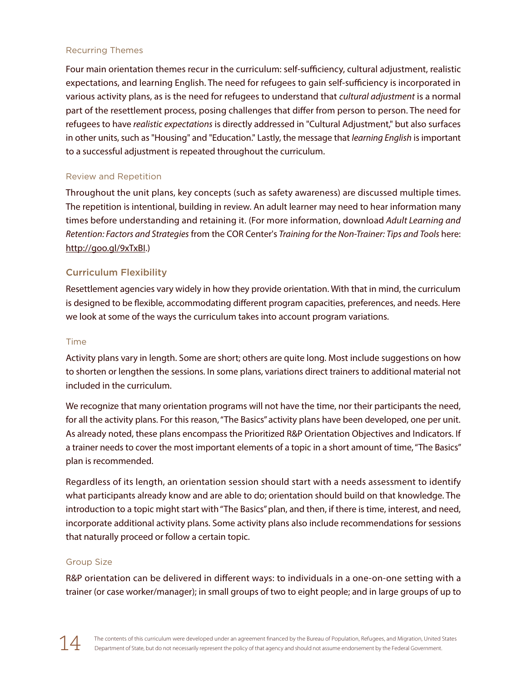#### Recurring Themes

Four main orientation themes recur in the curriculum: self-sufficiency, cultural adjustment, realistic expectations, and learning English. The need for refugees to gain self-sufficiency is incorporated in various activity plans, as is the need for refugees to understand that *cultural adjustment* is a normal part of the resettlement process, posing challenges that differ from person to person. The need for refugees to have *realistic expectations* is directly addressed in "Cultural Adjustment," but also surfaces in other units, such as "Housing" and "Education." Lastly, the message that *learning English* is important to a successful adjustment is repeated throughout the curriculum.

#### Review and Repetition

Throughout the unit plans, key concepts (such as safety awareness) are discussed multiple times. The repetition is intentional, building in review. An adult learner may need to hear information many times before understanding and retaining it. (For more information, download *Adult Learning and Retention: Factors and Strategies* from the COR Center's *Training for the Non-Trainer: Tips and Tools* here: http://goo.gl/9xTxBI.)

#### Curriculum Flexibility

Resettlement agencies vary widely in how they provide orientation. With that in mind, the curriculum is designed to be flexible, accommodating different program capacities, preferences, and needs. Here we look at some of the ways the curriculum takes into account program variations.

#### Time

Activity plans vary in length. Some are short; others are quite long. Most include suggestions on how to shorten or lengthen the sessions. In some plans, variations direct trainers to additional material not included in the curriculum.

We recognize that many orientation programs will not have the time, nor their participants the need, for all the activity plans. For this reason, "The Basics" activity plans have been developed, one per unit. As already noted, these plans encompass the Prioritized R&P Orientation Objectives and Indicators. If a trainer needs to cover the most important elements of a topic in a short amount of time, "The Basics" plan is recommended.

Regardless of its length, an orientation session should start with a needs assessment to identify what participants already know and are able to do; orientation should build on that knowledge. The introduction to a topic might start with "The Basics" plan, and then, if there is time, interest, and need, incorporate additional activity plans. Some activity plans also include recommendations for sessions that naturally proceed or follow a certain topic.

#### Group Size

R&P orientation can be delivered in different ways: to individuals in a one-on-one setting with a trainer (or case worker/manager); in small groups of two to eight people; and in large groups of up to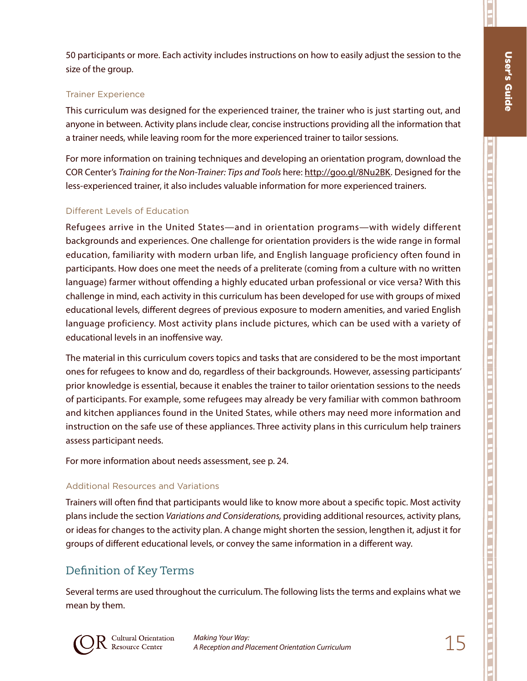П

50 participants or more. Each activity includes instructions on how to easily adjust the session to the size of the group.

#### Trainer Experience

This curriculum was designed for the experienced trainer, the trainer who is just starting out, and anyone in between. Activity plans include clear, concise instructions providing all the information that a trainer needs, while leaving room for the more experienced trainer to tailor sessions.

For more information on training techniques and developing an orientation program, download the COR Center's *Training for the Non-Trainer: Tips and Tools* here: http://goo.gl/8Nu2BK. Designed for the less-experienced trainer, it also includes valuable information for more experienced trainers.

#### Different Levels of Education

Refugees arrive in the United States—and in orientation programs—with widely different backgrounds and experiences. One challenge for orientation providers is the wide range in formal education, familiarity with modern urban life, and English language proficiency often found in participants. How does one meet the needs of a preliterate (coming from a culture with no written language) farmer without offending a highly educated urban professional or vice versa? With this challenge in mind, each activity in this curriculum has been developed for use with groups of mixed educational levels, different degrees of previous exposure to modern amenities, and varied English language proficiency. Most activity plans include pictures, which can be used with a variety of educational levels in an inoffensive way.

The material in this curriculum covers topics and tasks that are considered to be the most important ones for refugees to know and do, regardless of their backgrounds. However, assessing participants' prior knowledge is essential, because it enables the trainer to tailor orientation sessions to the needs of participants. For example, some refugees may already be very familiar with common bathroom and kitchen appliances found in the United States, while others may need more information and instruction on the safe use of these appliances. Three activity plans in this curriculum help trainers assess participant needs.

For more information about needs assessment, see p. 24.

#### Additional Resources and Variations

Trainers will often find that participants would like to know more about a specific topic. Most activity plans include the section *Variations and Considerations,* providing additional resources, activity plans, or ideas for changes to the activity plan. A change might shorten the session, lengthen it, adjust it for groups of different educational levels, or convey the same information in a different way.

#### Definition of Key Terms

Several terms are used throughout the curriculum. The following lists the terms and explains what we mean by them.



15 *Making Your Way: A Reception and Placement Orientation Curriculum*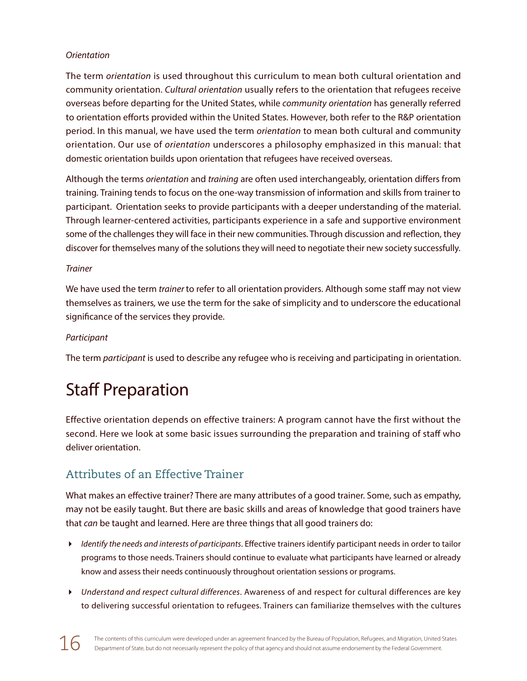#### *Orientation*

The term *orientation* is used throughout this curriculum to mean both cultural orientation and community orientation. *Cultural orientation* usually refers to the orientation that refugees receive overseas before departing for the United States, while *community orientation* has generally referred to orientation efforts provided within the United States. However, both refer to the R&P orientation period. In this manual, we have used the term *orientation* to mean both cultural and community orientation. Our use of *orientation* underscores a philosophy emphasized in this manual: that domestic orientation builds upon orientation that refugees have received overseas.

Although the terms *orientation* and *training* are often used interchangeably, orientation differs from training*.* Training tends to focus on the one-way transmission of information and skills from trainer to participant. Orientation seeks to provide participants with a deeper understanding of the material. Through learner-centered activities, participants experience in a safe and supportive environment some of the challenges they will face in their new communities. Through discussion and reflection, they discover for themselves many of the solutions they will need to negotiate their new society successfully.

#### *Trainer*

We have used the term *trainer* to refer to all orientation providers. Although some staff may not view themselves as trainers*,* we use the term for the sake of simplicity and to underscore the educational significance of the services they provide.

#### *Participant*

The term *participant* is used to describe any refugee who is receiving and participating in orientation.

# Staff Preparation

Effective orientation depends on effective trainers: A program cannot have the first without the second. Here we look at some basic issues surrounding the preparation and training of staff who deliver orientation.

### Attributes of an Effective Trainer

What makes an effective trainer? There are many attributes of a good trainer. Some, such as empathy, may not be easily taught. But there are basic skills and areas of knowledge that good trainers have that *can* be taught and learned. Here are three things that all good trainers do:

- *Identify the needs and interests of participants*. Effective trainers identify participant needs in order to tailor programs to those needs. Trainers should continue to evaluate what participants have learned or already know and assess their needs continuously throughout orientation sessions or programs.
- *Understand and respect cultural differences*. Awareness of and respect for cultural differences are key to delivering successful orientation to refugees. Trainers can familiarize themselves with the cultures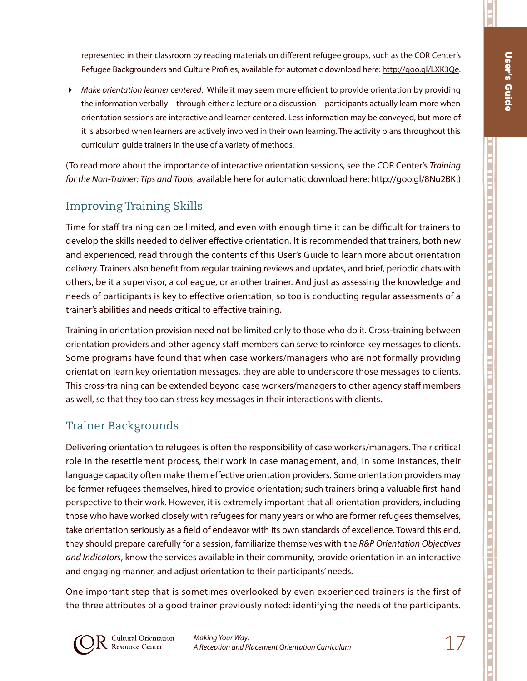П

j

represented in their classroom by reading materials on different refugee groups, such as the COR Center's Refugee Backgrounders and Culture Profiles, available for automatic download here: http://goo.gl/LXK3Qe.

 *Make orientation learner centered*. While it may seem more efficient to provide orientation by providing the information verbally—through either a lecture or a discussion—participants actually learn more when orientation sessions are interactive and learner centered. Less information may be conveyed, but more of it is absorbed when learners are actively involved in their own learning. The activity plans throughout this curriculum guide trainers in the use of a variety of methods.

(To read more about the importance of interactive orientation sessions, see the COR Center's *Training for the Non-Trainer: Tips and Tools*, available here for automatic download here: http://goo.gl/8Nu2BK.)

# Improving Training Skills

Time for staff training can be limited, and even with enough time it can be difficult for trainers to develop the skills needed to deliver effective orientation. It is recommended that trainers, both new and experienced, read through the contents of this User's Guide to learn more about orientation delivery. Trainers also benefit from regular training reviews and updates, and brief, periodic chats with others, be it a supervisor, a colleague, or another trainer. And just as assessing the knowledge and needs of participants is key to effective orientation, so too is conducting regular assessments of a trainer's abilities and needs critical to effective training.

Training in orientation provision need not be limited only to those who do it. Cross-training between orientation providers and other agency staff members can serve to reinforce key messages to clients. Some programs have found that when case workers/managers who are not formally providing orientation learn key orientation messages, they are able to underscore those messages to clients. This cross-training can be extended beyond case workers/managers to other agency staff members as well, so that they too can stress key messages in their interactions with clients.

### Trainer Backgrounds

Delivering orientation to refugees is often the responsibility of case workers/managers. Their critical role in the resettlement process, their work in case management, and, in some instances, their language capacity often make them effective orientation providers. Some orientation providers may be former refugees themselves, hired to provide orientation; such trainers bring a valuable first-hand perspective to their work. However, it is extremely important that all orientation providers, including those who have worked closely with refugees for many years or who are former refugees themselves, take orientation seriously as a field of endeavor with its own standards of excellence. Toward this end, they should prepare carefully for a session, familiarize themselves with the *R&P Orientation Objectives and Indicators*, know the services available in their community, provide orientation in an interactive and engaging manner, and adjust orientation to their participants' needs.

One important step that is sometimes overlooked by even experienced trainers is the first of the three attributes of a good trainer previously noted: identifying the needs of the participants.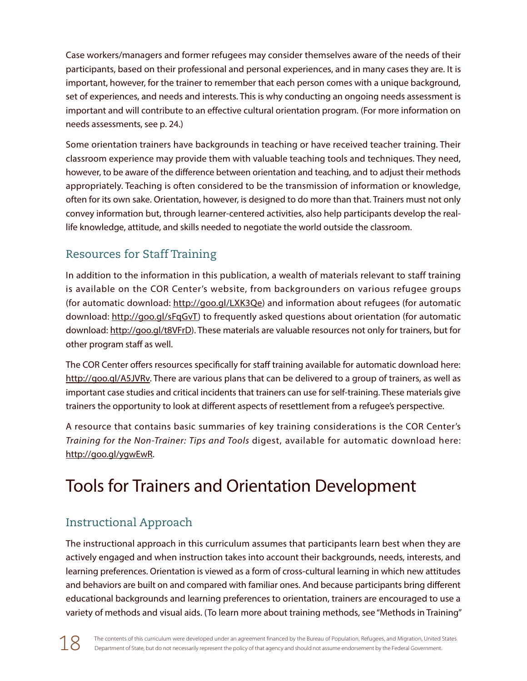Case workers/managers and former refugees may consider themselves aware of the needs of their participants, based on their professional and personal experiences, and in many cases they are. It is important, however, for the trainer to remember that each person comes with a unique background, set of experiences, and needs and interests. This is why conducting an ongoing needs assessment is important and will contribute to an effective cultural orientation program. (For more information on needs assessments, see p. 24.)

Some orientation trainers have backgrounds in teaching or have received teacher training. Their classroom experience may provide them with valuable teaching tools and techniques. They need, however, to be aware of the difference between orientation and teaching, and to adjust their methods appropriately. Teaching is often considered to be the transmission of information or knowledge, often for its own sake. Orientation, however, is designed to do more than that. Trainers must not only convey information but, through learner-centered activities, also help participants develop the reallife knowledge, attitude, and skills needed to negotiate the world outside the classroom.

# Resources for Staff Training

In addition to the information in this publication, a wealth of materials relevant to staff training is available on the COR Center's website, from backgrounders on various refugee groups (for automatic download: http://goo.gl/LXK3Qe) and information about refugees (for automatic download: http://goo.gl/sFqGvT) to frequently asked questions about orientation (for automatic download: http://goo.gl/t8VFrD). These materials are valuable resources not only for trainers, but for other program staff as well.

The COR Center offers resources specifically for staff training available for automatic download here: http://goo.gl/A5JVRv. There are various plans that can be delivered to a group of trainers, as well as important case studies and critical incidents that trainers can use for self-training. These materials give trainers the opportunity to look at different aspects of resettlement from a refugee's perspective.

A resource that contains basic summaries of key training considerations is the COR Center's *Training for the Non-Trainer: Tips and Tools* digest, available for automatic download here: http://goo.gl/ygwEwR.

# Tools for Trainers and Orientation Development

# Instructional Approach

The instructional approach in this curriculum assumes that participants learn best when they are actively engaged and when instruction takes into account their backgrounds, needs, interests, and learning preferences. Orientation is viewed as a form of cross-cultural learning in which new attitudes and behaviors are built on and compared with familiar ones. And because participants bring different educational backgrounds and learning preferences to orientation, trainers are encouraged to use a variety of methods and visual aids. (To learn more about training methods, see "Methods in Training"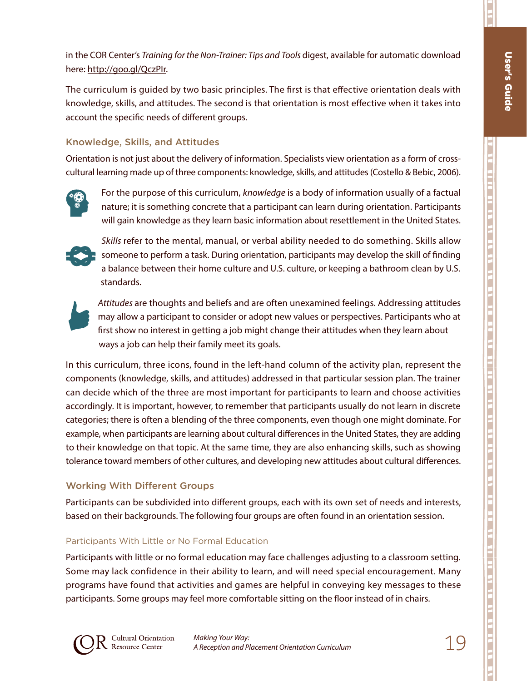п

j

in the COR Center's *Training for the Non-Trainer: Tips and Tools* digest, available for automatic download here: http://goo.gl/QczPIr.

The curriculum is guided by two basic principles. The first is that effective orientation deals with knowledge, skills, and attitudes. The second is that orientation is most effective when it takes into account the specific needs of different groups.

#### Knowledge, Skills, and Attitudes

Orientation is not just about the delivery of information. Specialists view orientation as a form of crosscultural learning made up of three components: knowledge, skills, and attitudes (Costello & Bebic, 2006).



For the purpose of this curriculum, *knowledge* is a body of information usually of a factual nature; it is something concrete that a participant can learn during orientation. Participants will gain knowledge as they learn basic information about resettlement in the United States.



*Skills* refer to the mental, manual, or verbal ability needed to do something. Skills allow someone to perform a task. During orientation, participants may develop the skill of finding a balance between their home culture and U.S. culture, or keeping a bathroom clean by U.S. standards.



*Attitudes* are thoughts and beliefs and are often unexamined feelings. Addressing attitudes may allow a participant to consider or adopt new values or perspectives. Participants who at first show no interest in getting a job might change their attitudes when they learn about ways a job can help their family meet its goals.

In this curriculum, three icons, found in the left-hand column of the activity plan, represent the components (knowledge, skills, and attitudes) addressed in that particular session plan. The trainer can decide which of the three are most important for participants to learn and choose activities accordingly. It is important, however, to remember that participants usually do not learn in discrete categories; there is often a blending of the three components, even though one might dominate. For example, when participants are learning about cultural differences in the United States, they are adding to their knowledge on that topic. At the same time, they are also enhancing skills, such as showing tolerance toward members of other cultures, and developing new attitudes about cultural differences.

#### Working With Different Groups

Participants can be subdivided into different groups, each with its own set of needs and interests, based on their backgrounds. The following four groups are often found in an orientation session.

#### Participants With Little or No Formal Education

Participants with little or no formal education may face challenges adjusting to a classroom setting. Some may lack confidence in their ability to learn, and will need special encouragement. Many programs have found that activities and games are helpful in conveying key messages to these participants. Some groups may feel more comfortable sitting on the floor instead of in chairs.

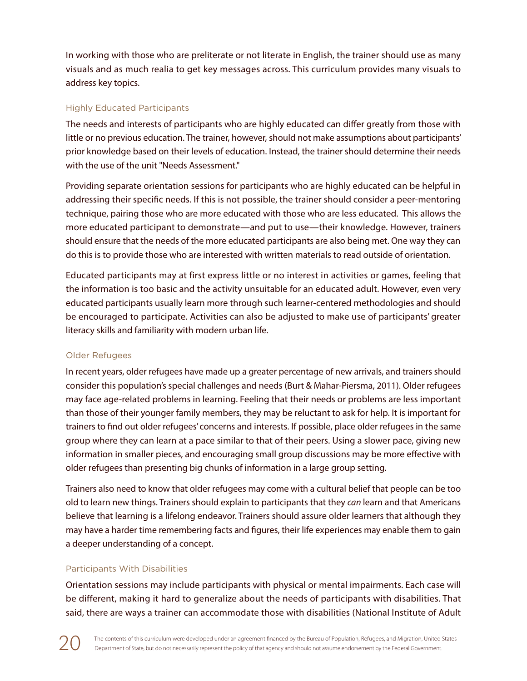In working with those who are preliterate or not literate in English, the trainer should use as many visuals and as much realia to get key messages across. This curriculum provides many visuals to address key topics.

#### Highly Educated Participants

The needs and interests of participants who are highly educated can differ greatly from those with little or no previous education. The trainer, however, should not make assumptions about participants' prior knowledge based on their levels of education. Instead, the trainer should determine their needs with the use of the unit "Needs Assessment."

Providing separate orientation sessions for participants who are highly educated can be helpful in addressing their specific needs. If this is not possible, the trainer should consider a peer-mentoring technique, pairing those who are more educated with those who are less educated. This allows the more educated participant to demonstrate—and put to use—their knowledge. However, trainers should ensure that the needs of the more educated participants are also being met. One way they can do this is to provide those who are interested with written materials to read outside of orientation.

Educated participants may at first express little or no interest in activities or games, feeling that the information is too basic and the activity unsuitable for an educated adult. However, even very educated participants usually learn more through such learner-centered methodologies and should be encouraged to participate. Activities can also be adjusted to make use of participants' greater literacy skills and familiarity with modern urban life.

#### Older Refugees

In recent years, older refugees have made up a greater percentage of new arrivals, and trainers should consider this population's special challenges and needs (Burt & Mahar-Piersma, 2011). Older refugees may face age-related problems in learning. Feeling that their needs or problems are less important than those of their younger family members, they may be reluctant to ask for help. It is important for trainers to find out older refugees' concerns and interests. If possible, place older refugees in the same group where they can learn at a pace similar to that of their peers. Using a slower pace, giving new information in smaller pieces, and encouraging small group discussions may be more effective with older refugees than presenting big chunks of information in a large group setting.

Trainers also need to know that older refugees may come with a cultural belief that people can be too old to learn new things. Trainers should explain to participants that they *can* learn and that Americans believe that learning is a lifelong endeavor. Trainers should assure older learners that although they may have a harder time remembering facts and figures, their life experiences may enable them to gain a deeper understanding of a concept.

#### Participants With Disabilities

Orientation sessions may include participants with physical or mental impairments. Each case will be different, making it hard to generalize about the needs of participants with disabilities. That said, there are ways a trainer can accommodate those with disabilities (National Institute of Adult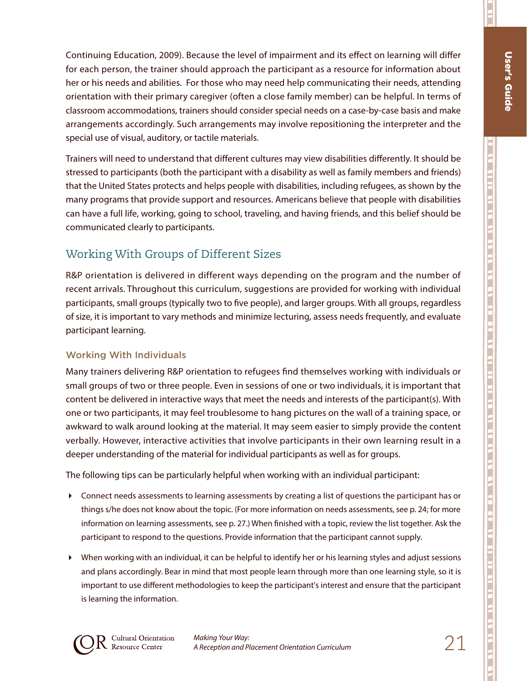Ħ

Continuing Education, 2009). Because the level of impairment and its effect on learning will differ for each person, the trainer should approach the participant as a resource for information about her or his needs and abilities. For those who may need help communicating their needs, attending orientation with their primary caregiver (often a close family member) can be helpful. In terms of classroom accommodations, trainers should consider special needs on a case-by-case basis and make arrangements accordingly. Such arrangements may involve repositioning the interpreter and the special use of visual, auditory, or tactile materials.

Trainers will need to understand that different cultures may view disabilities differently. It should be stressed to participants (both the participant with a disability as well as family members and friends) that the United States protects and helps people with disabilities, including refugees, as shown by the many programs that provide support and resources. Americans believe that people with disabilities can have a full life, working, going to school, traveling, and having friends, and this belief should be communicated clearly to participants.

### Working With Groups of Different Sizes

R&P orientation is delivered in different ways depending on the program and the number of recent arrivals. Throughout this curriculum, suggestions are provided for working with individual participants, small groups (typically two to five people), and larger groups. With all groups, regardless of size, it is important to vary methods and minimize lecturing, assess needs frequently, and evaluate participant learning.

#### Working With Individuals

Many trainers delivering R&P orientation to refugees find themselves working with individuals or small groups of two or three people. Even in sessions of one or two individuals, it is important that content be delivered in interactive ways that meet the needs and interests of the participant(s). With one or two participants, it may feel troublesome to hang pictures on the wall of a training space, or awkward to walk around looking at the material. It may seem easier to simply provide the content verbally. However, interactive activities that involve participants in their own learning result in a deeper understanding of the material for individual participants as well as for groups.

The following tips can be particularly helpful when working with an individual participant:

- Connect needs assessments to learning assessments by creating a list of questions the participant has or things s/he does not know about the topic. (For more information on needs assessments, see p. 24; for more information on learning assessments, see p. 27.) When finished with a topic, review the list together. Ask the participant to respond to the questions. Provide information that the participant cannot supply.
- When working with an individual, it can be helpful to identify her or his learning styles and adjust sessions and plans accordingly. Bear in mind that most people learn through more than one learning style, so it is important to use different methodologies to keep the participant's interest and ensure that the participant is learning the information.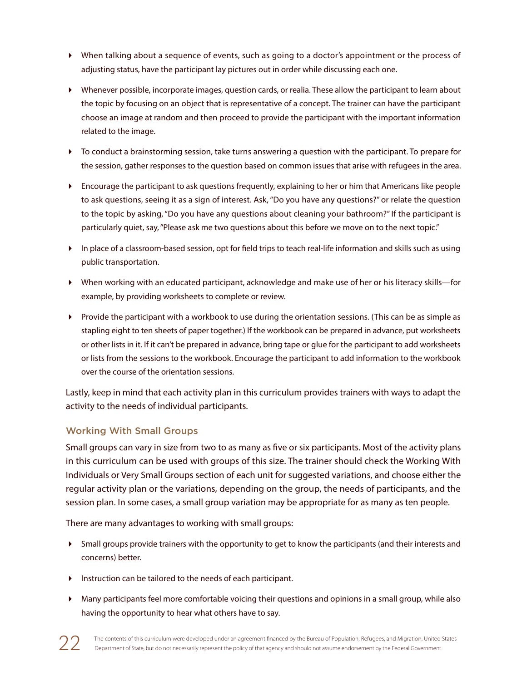- When talking about a sequence of events, such as going to a doctor's appointment or the process of adjusting status, have the participant lay pictures out in order while discussing each one.
- Whenever possible, incorporate images, question cards, or realia. These allow the participant to learn about the topic by focusing on an object that is representative of a concept. The trainer can have the participant choose an image at random and then proceed to provide the participant with the important information related to the image.
- To conduct a brainstorming session, take turns answering a question with the participant. To prepare for the session, gather responses to the question based on common issues that arise with refugees in the area.
- Encourage the participant to ask questions frequently, explaining to her or him that Americans like people to ask questions, seeing it as a sign of interest. Ask, "Do you have any questions?" or relate the question to the topic by asking, "Do you have any questions about cleaning your bathroom?" If the participant is particularly quiet, say, "Please ask me two questions about this before we move on to the next topic."
- In place of a classroom-based session, opt for field trips to teach real-life information and skills such as using public transportation.
- When working with an educated participant, acknowledge and make use of her or his literacy skills—for example, by providing worksheets to complete or review.
- Provide the participant with a workbook to use during the orientation sessions. (This can be as simple as stapling eight to ten sheets of paper together.) If the workbook can be prepared in advance, put worksheets or other lists in it. If it can't be prepared in advance, bring tape or glue for the participant to add worksheets or lists from the sessions to the workbook. Encourage the participant to add information to the workbook over the course of the orientation sessions.

Lastly, keep in mind that each activity plan in this curriculum provides trainers with ways to adapt the activity to the needs of individual participants.

#### Working With Small Groups

Small groups can vary in size from two to as many as five or six participants. Most of the activity plans in this curriculum can be used with groups of this size. The trainer should check the Working With Individuals or Very Small Groups section of each unit for suggested variations, and choose either the regular activity plan or the variations, depending on the group, the needs of participants, and the session plan. In some cases, a small group variation may be appropriate for as many as ten people.

There are many advantages to working with small groups:

- Small groups provide trainers with the opportunity to get to know the participants (and their interests and concerns) better.
- Instruction can be tailored to the needs of each participant.
- Many participants feel more comfortable voicing their questions and opinions in a small group, while also having the opportunity to hear what others have to say.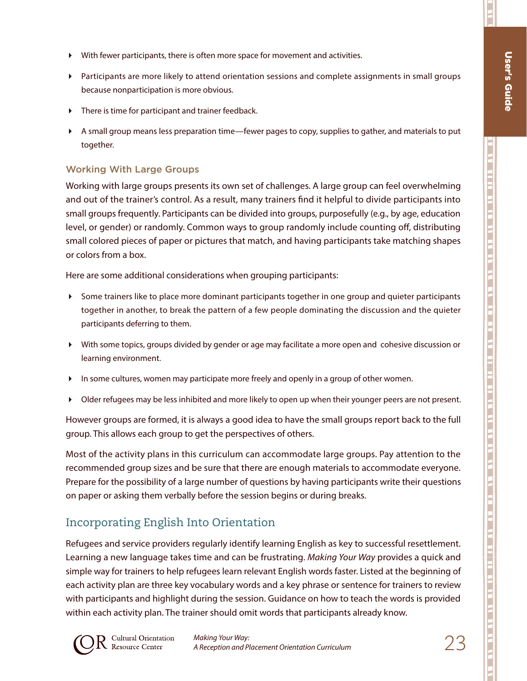п

- With fewer participants, there is often more space for movement and activities.
- Participants are more likely to attend orientation sessions and complete assignments in small groups because nonparticipation is more obvious.
- There is time for participant and trainer feedback.
- A small group means less preparation time—fewer pages to copy, supplies to gather, and materials to put together.

#### Working With Large Groups

Working with large groups presents its own set of challenges. A large group can feel overwhelming and out of the trainer's control. As a result, many trainers find it helpful to divide participants into small groups frequently. Participants can be divided into groups, purposefully (e.g., by age, education level, or gender) or randomly. Common ways to group randomly include counting off, distributing small colored pieces of paper or pictures that match, and having participants take matching shapes or colors from a box.

Here are some additional considerations when grouping participants:

- Some trainers like to place more dominant participants together in one group and quieter participants together in another, to break the pattern of a few people dominating the discussion and the quieter participants deferring to them.
- With some topics, groups divided by gender or age may facilitate a more open and cohesive discussion or learning environment.
- In some cultures, women may participate more freely and openly in a group of other women.
- Older refugees may be less inhibited and more likely to open up when their younger peers are not present.

However groups are formed, it is always a good idea to have the small groups report back to the full group. This allows each group to get the perspectives of others.

Most of the activity plans in this curriculum can accommodate large groups. Pay attention to the recommended group sizes and be sure that there are enough materials to accommodate everyone. Prepare for the possibility of a large number of questions by having participants write their questions on paper or asking them verbally before the session begins or during breaks.

## Incorporating English Into Orientation

Refugees and service providers regularly identify learning English as key to successful resettlement. Learning a new language takes time and can be frustrating. *Making Your Way* provides a quick and simple way for trainers to help refugees learn relevant English words faster. Listed at the beginning of each activity plan are three key vocabulary words and a key phrase or sentence for trainers to review with participants and highlight during the session. Guidance on how to teach the words is provided within each activity plan. The trainer should omit words that participants already know.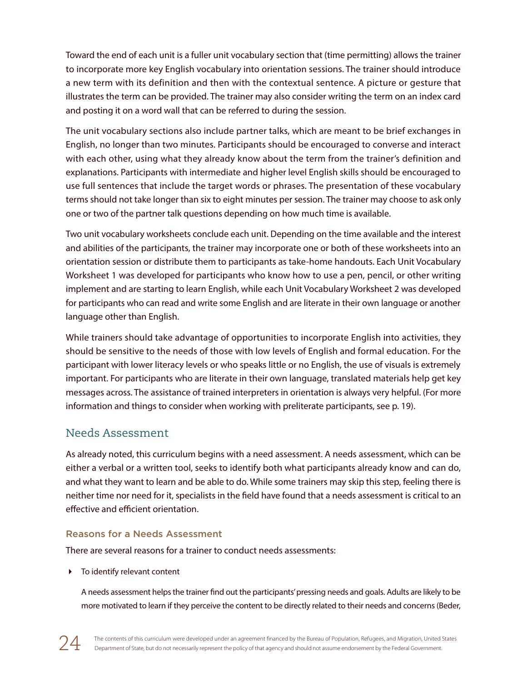Toward the end of each unit is a fuller unit vocabulary section that (time permitting) allows the trainer to incorporate more key English vocabulary into orientation sessions. The trainer should introduce a new term with its definition and then with the contextual sentence. A picture or gesture that illustrates the term can be provided. The trainer may also consider writing the term on an index card and posting it on a word wall that can be referred to during the session.

The unit vocabulary sections also include partner talks, which are meant to be brief exchanges in English, no longer than two minutes. Participants should be encouraged to converse and interact with each other, using what they already know about the term from the trainer's definition and explanations. Participants with intermediate and higher level English skills should be encouraged to use full sentences that include the target words or phrases. The presentation of these vocabulary terms should not take longer than six to eight minutes per session. The trainer may choose to ask only one or two of the partner talk questions depending on how much time is available.

Two unit vocabulary worksheets conclude each unit. Depending on the time available and the interest and abilities of the participants, the trainer may incorporate one or both of these worksheets into an orientation session or distribute them to participants as take-home handouts. Each Unit Vocabulary Worksheet 1 was developed for participants who know how to use a pen, pencil, or other writing implement and are starting to learn English, while each Unit Vocabulary Worksheet 2 was developed for participants who can read and write some English and are literate in their own language or another language other than English.

While trainers should take advantage of opportunities to incorporate English into activities, they should be sensitive to the needs of those with low levels of English and formal education. For the participant with lower literacy levels or who speaks little or no English, the use of visuals is extremely important. For participants who are literate in their own language, translated materials help get key messages across. The assistance of trained interpreters in orientation is always very helpful. (For more information and things to consider when working with preliterate participants, see p. 19).

### Needs Assessment

As already noted, this curriculum begins with a need assessment. A needs assessment, which can be either a verbal or a written tool, seeks to identify both what participants already know and can do, and what they want to learn and be able to do. While some trainers may skip this step, feeling there is neither time nor need for it, specialists in the field have found that a needs assessment is critical to an effective and efficient orientation.

#### Reasons for a Needs Assessment

There are several reasons for a trainer to conduct needs assessments:

To identify relevant content

A needs assessment helps the trainer find out the participants' pressing needs and goals. Adults are likely to be more motivated to learn if they perceive the content to be directly related to their needs and concerns (Beder,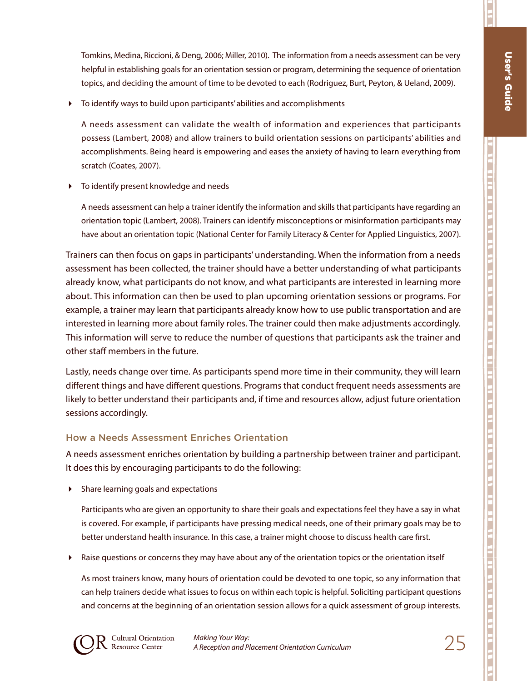п

j

Tomkins, Medina, Riccioni, & Deng, 2006; Miller, 2010). The information from a needs assessment can be very helpful in establishing goals for an orientation session or program, determining the sequence of orientation topics, and deciding the amount of time to be devoted to each (Rodriguez, Burt, Peyton, & Ueland, 2009).

To identify ways to build upon participants' abilities and accomplishments

A needs assessment can validate the wealth of information and experiences that participants possess (Lambert, 2008) and allow trainers to build orientation sessions on participants' abilities and accomplishments. Being heard is empowering and eases the anxiety of having to learn everything from scratch (Coates, 2007).

To identify present knowledge and needs

A needs assessment can help a trainer identify the information and skills that participants have regarding an orientation topic (Lambert, 2008). Trainers can identify misconceptions or misinformation participants may have about an orientation topic (National Center for Family Literacy & Center for Applied Linguistics, 2007).

Trainers can then focus on gaps in participants' understanding. When the information from a needs assessment has been collected, the trainer should have a better understanding of what participants already know, what participants do not know, and what participants are interested in learning more about. This information can then be used to plan upcoming orientation sessions or programs. For example, a trainer may learn that participants already know how to use public transportation and are interested in learning more about family roles. The trainer could then make adjustments accordingly. This information will serve to reduce the number of questions that participants ask the trainer and other staff members in the future.

Lastly, needs change over time. As participants spend more time in their community, they will learn different things and have different questions. Programs that conduct frequent needs assessments are likely to better understand their participants and, if time and resources allow, adjust future orientation sessions accordingly.

#### How a Needs Assessment Enriches Orientation

A needs assessment enriches orientation by building a partnership between trainer and participant. It does this by encouraging participants to do the following:

Share learning goals and expectations

Participants who are given an opportunity to share their goals and expectations feel they have a say in what is covered. For example, if participants have pressing medical needs, one of their primary goals may be to better understand health insurance. In this case, a trainer might choose to discuss health care first.

Raise questions or concerns they may have about any of the orientation topics or the orientation itself

As most trainers know, many hours of orientation could be devoted to one topic, so any information that can help trainers decide what issues to focus on within each topic is helpful. Soliciting participant questions and concerns at the beginning of an orientation session allows for a quick assessment of group interests.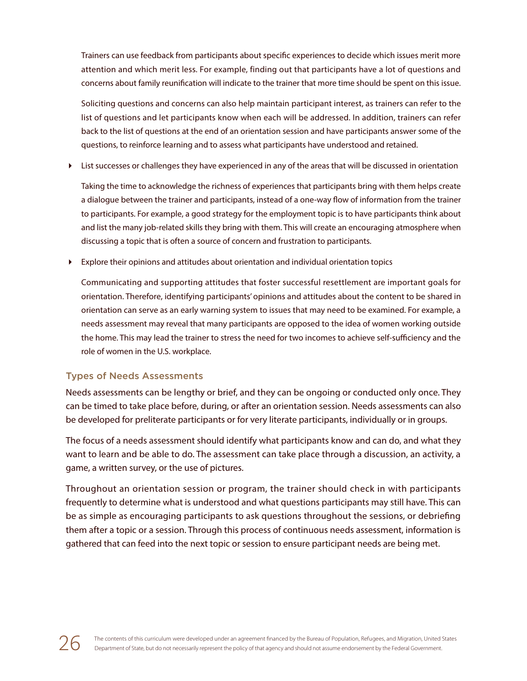Trainers can use feedback from participants about specific experiences to decide which issues merit more attention and which merit less. For example, finding out that participants have a lot of questions and concerns about family reunification will indicate to the trainer that more time should be spent on this issue.

Soliciting questions and concerns can also help maintain participant interest, as trainers can refer to the list of questions and let participants know when each will be addressed. In addition, trainers can refer back to the list of questions at the end of an orientation session and have participants answer some of the questions, to reinforce learning and to assess what participants have understood and retained.

List successes or challenges they have experienced in any of the areas that will be discussed in orientation

Taking the time to acknowledge the richness of experiences that participants bring with them helps create a dialogue between the trainer and participants, instead of a one-way flow of information from the trainer to participants. For example, a good strategy for the employment topic is to have participants think about and list the many job-related skills they bring with them. This will create an encouraging atmosphere when discussing a topic that is often a source of concern and frustration to participants.

Explore their opinions and attitudes about orientation and individual orientation topics

Communicating and supporting attitudes that foster successful resettlement are important goals for orientation. Therefore, identifying participants' opinions and attitudes about the content to be shared in orientation can serve as an early warning system to issues that may need to be examined. For example, a needs assessment may reveal that many participants are opposed to the idea of women working outside the home. This may lead the trainer to stress the need for two incomes to achieve self-sufficiency and the role of women in the U.S. workplace.

#### Types of Needs Assessments

Needs assessments can be lengthy or brief, and they can be ongoing or conducted only once. They can be timed to take place before, during, or after an orientation session. Needs assessments can also be developed for preliterate participants or for very literate participants, individually or in groups.

The focus of a needs assessment should identify what participants know and can do, and what they want to learn and be able to do. The assessment can take place through a discussion, an activity, a game, a written survey, or the use of pictures.

Throughout an orientation session or program, the trainer should check in with participants frequently to determine what is understood and what questions participants may still have. This can be as simple as encouraging participants to ask questions throughout the sessions, or debriefing them after a topic or a session. Through this process of continuous needs assessment, information is gathered that can feed into the next topic or session to ensure participant needs are being met.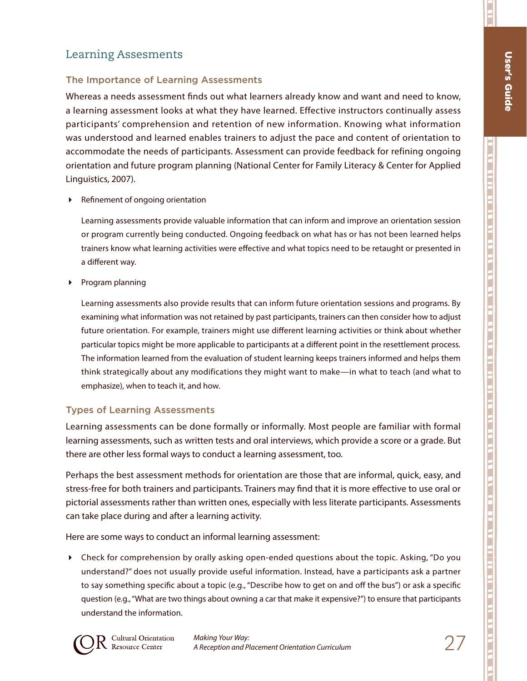П

j

ת הוות הוא הוא הראש המים הם הם הם את הוא הוא הוא הוא הוא הם הם הם הם את הוא הוא הוא הוא הוא הוא הוא הוא הוא הו

### Learning Assesments

#### The Importance of Learning Assessments

Whereas a needs assessment finds out what learners already know and want and need to know, a learning assessment looks at what they have learned. Effective instructors continually assess participants' comprehension and retention of new information. Knowing what information was understood and learned enables trainers to adjust the pace and content of orientation to accommodate the needs of participants. Assessment can provide feedback for refining ongoing orientation and future program planning (National Center for Family Literacy & Center for Applied Linguistics, 2007).

Refinement of ongoing orientation

Learning assessments provide valuable information that can inform and improve an orientation session or program currently being conducted. Ongoing feedback on what has or has not been learned helps trainers know what learning activities were effective and what topics need to be retaught or presented in a different way.

Program planning

Learning assessments also provide results that can inform future orientation sessions and programs. By examining what information was not retained by past participants, trainers can then consider how to adjust future orientation. For example, trainers might use different learning activities or think about whether particular topics might be more applicable to participants at a different point in the resettlement process. The information learned from the evaluation of student learning keeps trainers informed and helps them think strategically about any modifications they might want to make—in what to teach (and what to emphasize), when to teach it, and how.

#### Types of Learning Assessments

Learning assessments can be done formally or informally. Most people are familiar with formal learning assessments, such as written tests and oral interviews, which provide a score or a grade. But there are other less formal ways to conduct a learning assessment, too.

Perhaps the best assessment methods for orientation are those that are informal, quick, easy, and stress-free for both trainers and participants. Trainers may find that it is more effective to use oral or pictorial assessments rather than written ones, especially with less literate participants. Assessments can take place during and after a learning activity.

Here are some ways to conduct an informal learning assessment:

 Check for comprehension by orally asking open-ended questions about the topic. Asking, "Do you understand?" does not usually provide useful information. Instead, have a participants ask a partner to say something specific about a topic (e.g., "Describe how to get on and off the bus") or ask a specific question (e.g., "What are two things about owning a car that make it expensive?") to ensure that participants understand the information.

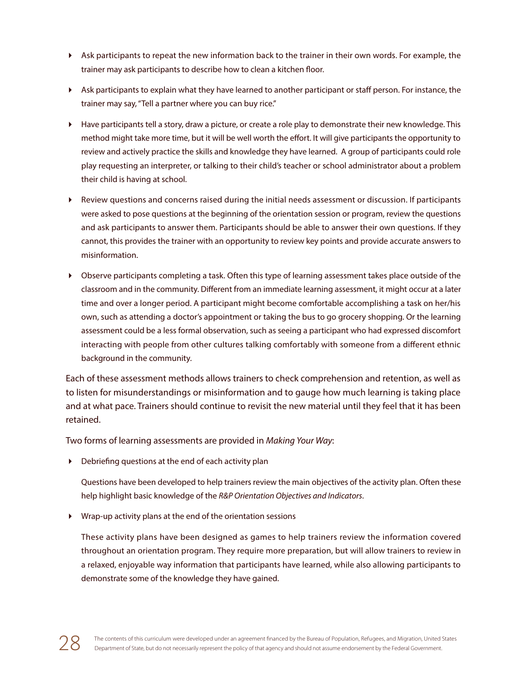- Ask participants to repeat the new information back to the trainer in their own words. For example, the trainer may ask participants to describe how to clean a kitchen floor.
- Ask participants to explain what they have learned to another participant or staff person. For instance, the trainer may say, "Tell a partner where you can buy rice."
- $\blacktriangleright$  Have participants tell a story, draw a picture, or create a role play to demonstrate their new knowledge. This method might take more time, but it will be well worth the effort. It will give participants the opportunity to review and actively practice the skills and knowledge they have learned. A group of participants could role play requesting an interpreter, or talking to their child's teacher or school administrator about a problem their child is having at school.
- Review questions and concerns raised during the initial needs assessment or discussion. If participants were asked to pose questions at the beginning of the orientation session or program, review the questions and ask participants to answer them. Participants should be able to answer their own questions. If they cannot, this provides the trainer with an opportunity to review key points and provide accurate answers to misinformation.
- Observe participants completing a task. Often this type of learning assessment takes place outside of the classroom and in the community. Different from an immediate learning assessment, it might occur at a later time and over a longer period. A participant might become comfortable accomplishing a task on her/his own, such as attending a doctor's appointment or taking the bus to go grocery shopping. Or the learning assessment could be a less formal observation, such as seeing a participant who had expressed discomfort interacting with people from other cultures talking comfortably with someone from a different ethnic background in the community.

Each of these assessment methods allows trainers to check comprehension and retention, as well as to listen for misunderstandings or misinformation and to gauge how much learning is taking place and at what pace. Trainers should continue to revisit the new material until they feel that it has been retained.

Two forms of learning assessments are provided in *Making Your Way*:

Debriefing questions at the end of each activity plan

Questions have been developed to help trainers review the main objectives of the activity plan. Often these help highlight basic knowledge of the *R&P Orientation Objectives and Indicators*.

Wrap-up activity plans at the end of the orientation sessions

These activity plans have been designed as games to help trainers review the information covered throughout an orientation program. They require more preparation, but will allow trainers to review in a relaxed, enjoyable way information that participants have learned, while also allowing participants to demonstrate some of the knowledge they have gained.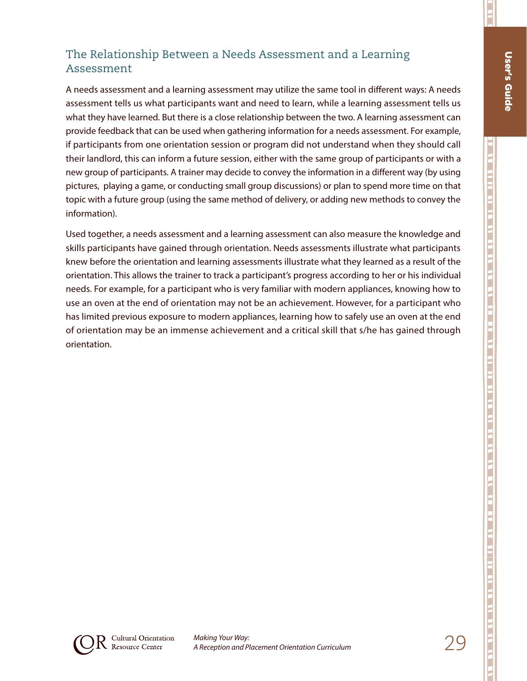E

ות גב הוות מו וה מו הן גם הן וה שו ות הן וה וה וה וה וה וה וה הן שם הן הן הן הן הן וה וו וה וה וה וה וה הן הם

### The Relationship Between a Needs Assessment and a Learning Assessment

A needs assessment and a learning assessment may utilize the same tool in different ways: A needs assessment tells us what participants want and need to learn, while a learning assessment tells us what they have learned. But there is a close relationship between the two. A learning assessment can provide feedback that can be used when gathering information for a needs assessment. For example, if participants from one orientation session or program did not understand when they should call their landlord, this can inform a future session, either with the same group of participants or with a new group of participants. A trainer may decide to convey the information in a different way (by using pictures, playing a game, or conducting small group discussions) or plan to spend more time on that topic with a future group (using the same method of delivery, or adding new methods to convey the information).

Used together, a needs assessment and a learning assessment can also measure the knowledge and skills participants have gained through orientation. Needs assessments illustrate what participants knew before the orientation and learning assessments illustrate what they learned as a result of the orientation. This allows the trainer to track a participant's progress according to her or his individual needs. For example, for a participant who is very familiar with modern appliances, knowing how to use an oven at the end of orientation may not be an achievement. However, for a participant who has limited previous exposure to modern appliances, learning how to safely use an oven at the end of orientation may be an immense achievement and a critical skill that s/he has gained through orientation.

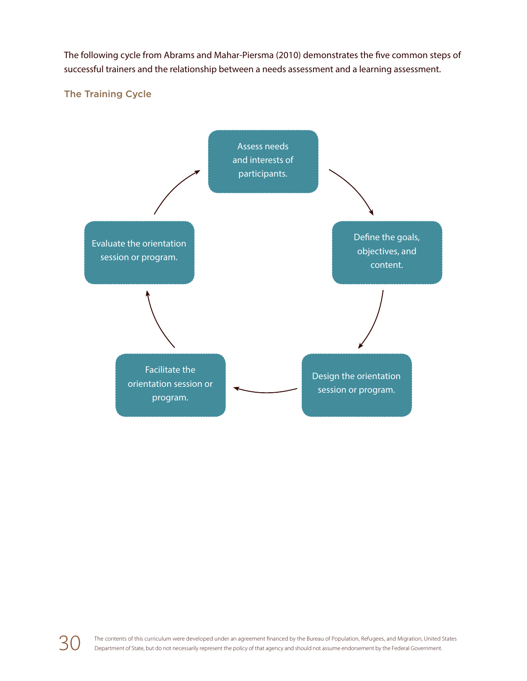The following cycle from Abrams and Mahar-Piersma (2010) demonstrates the five common steps of successful trainers and the relationship between a needs assessment and a learning assessment.

#### The Training Cycle



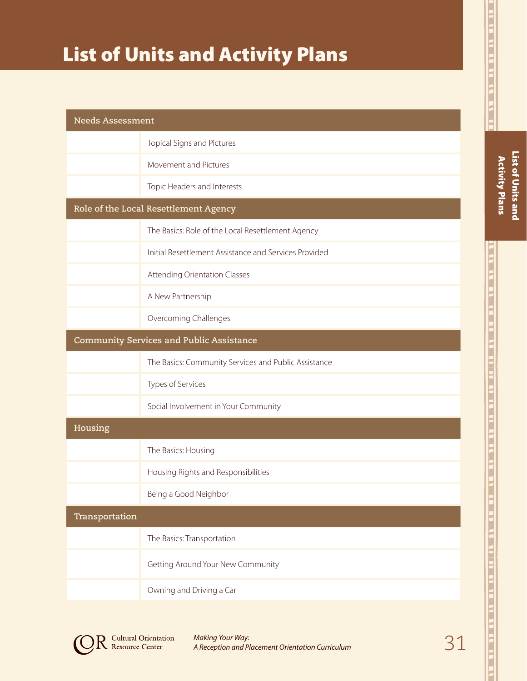# List of Units and Activity Plans

| <b>Needs Assessment</b>                         |                                                       |  |
|-------------------------------------------------|-------------------------------------------------------|--|
|                                                 | Topical Signs and Pictures                            |  |
|                                                 | Movement and Pictures                                 |  |
|                                                 | Topic Headers and Interests                           |  |
| Role of the Local Resettlement Agency           |                                                       |  |
|                                                 | The Basics: Role of the Local Resettlement Agency     |  |
|                                                 | Initial Resettlement Assistance and Services Provided |  |
|                                                 | Attending Orientation Classes                         |  |
|                                                 | A New Partnership                                     |  |
|                                                 | Overcoming Challenges                                 |  |
| <b>Community Services and Public Assistance</b> |                                                       |  |
|                                                 | The Basics: Community Services and Public Assistance  |  |
|                                                 | Types of Services                                     |  |
|                                                 | Social Involvement in Your Community                  |  |
| Housing                                         |                                                       |  |
|                                                 | The Basics: Housing                                   |  |
|                                                 | Housing Rights and Responsibilities                   |  |
|                                                 | Being a Good Neighbor                                 |  |
| Transportation                                  |                                                       |  |
|                                                 | The Basics: Transportation                            |  |
|                                                 | Getting Around Your New Community                     |  |
|                                                 | Owning and Driving a Car                              |  |



**Cultural Orientation**<br>Resource Center

31 *Making Your Way: A Reception and Placement Orientation Curriculum*

ווי הוא של הם שם לת הו הו הם והם הו הם הם הם של הם של הם הם לת הו הם הם הם הם הם הם הם של הם הם של הם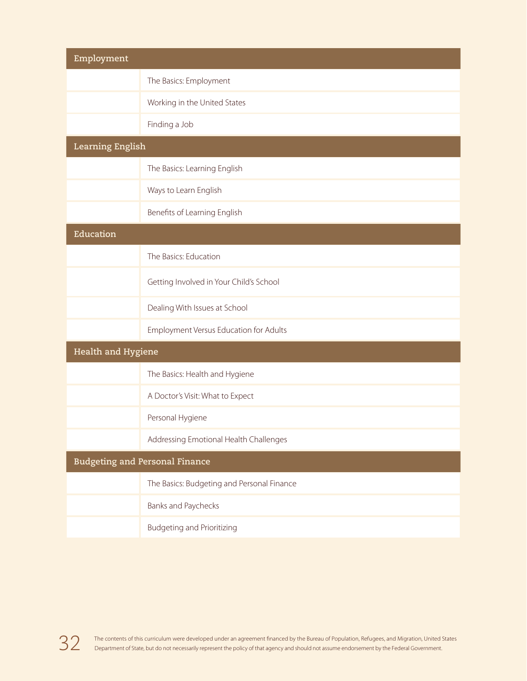| Employment                            |                                            |  |
|---------------------------------------|--------------------------------------------|--|
|                                       | The Basics: Employment                     |  |
|                                       | Working in the United States               |  |
|                                       | Finding a Job                              |  |
| <b>Learning English</b>               |                                            |  |
|                                       | The Basics: Learning English               |  |
|                                       | Ways to Learn English                      |  |
|                                       | Benefits of Learning English               |  |
| Education                             |                                            |  |
|                                       | The Basics: Education                      |  |
|                                       | Getting Involved in Your Child's School    |  |
|                                       | Dealing With Issues at School              |  |
|                                       | Employment Versus Education for Adults     |  |
| Health and Hygiene                    |                                            |  |
|                                       | The Basics: Health and Hygiene             |  |
|                                       | A Doctor's Visit: What to Expect           |  |
|                                       | Personal Hygiene                           |  |
|                                       | Addressing Emotional Health Challenges     |  |
| <b>Budgeting and Personal Finance</b> |                                            |  |
|                                       | The Basics: Budgeting and Personal Finance |  |
|                                       | Banks and Paychecks                        |  |
|                                       | <b>Budgeting and Prioritizing</b>          |  |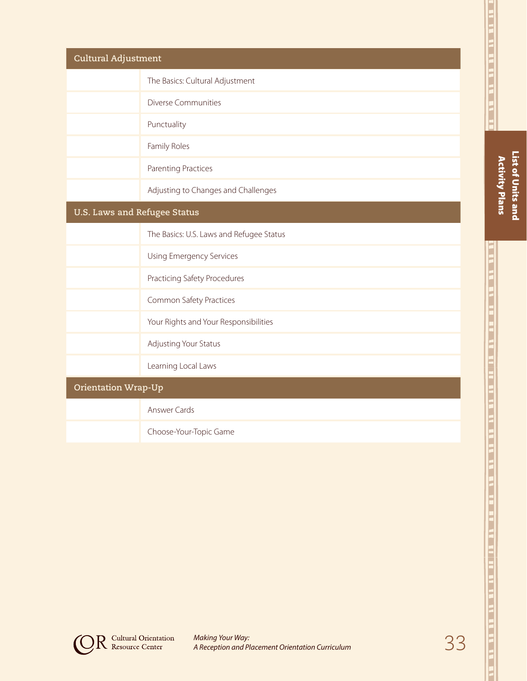| Cultural Adjustment          |                                          |  |
|------------------------------|------------------------------------------|--|
|                              | The Basics: Cultural Adjustment          |  |
|                              | <b>Diverse Communities</b>               |  |
|                              | Punctuality                              |  |
|                              | Family Roles                             |  |
|                              | <b>Parenting Practices</b>               |  |
|                              | Adjusting to Changes and Challenges      |  |
| U.S. Laws and Refugee Status |                                          |  |
|                              | The Basics: U.S. Laws and Refugee Status |  |
|                              | Using Emergency Services                 |  |
|                              | Practicing Safety Procedures             |  |
|                              | Common Safety Practices                  |  |
|                              | Your Rights and Your Responsibilities    |  |
|                              | Adjusting Your Status                    |  |
|                              | Learning Local Laws                      |  |
| <b>Orientation Wrap-Up</b>   |                                          |  |
|                              | <b>Answer Cards</b>                      |  |
|                              | Choose-Your-Topic Game                   |  |

List of Units and Activity Plans

List of Units and **Activity Plans** 

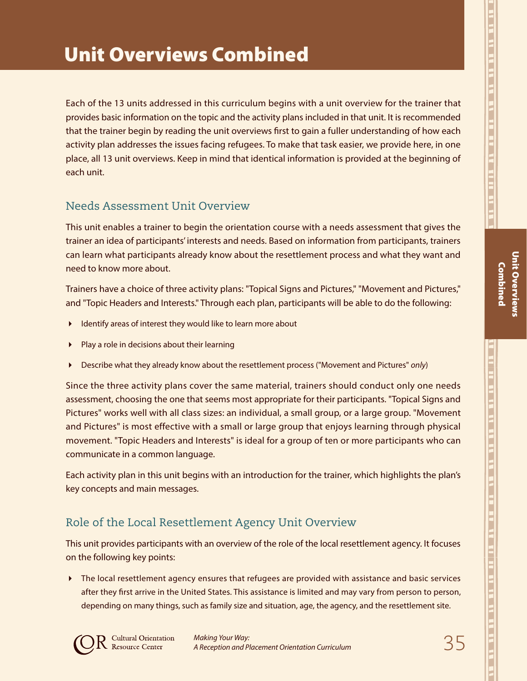Each of the 13 units addressed in this curriculum begins with a unit overview for the trainer that provides basic information on the topic and the activity plans included in that unit. It is recommended that the trainer begin by reading the unit overviews first to gain a fuller understanding of how each activity plan addresses the issues facing refugees. To make that task easier, we provide here, in one place, all 13 unit overviews. Keep in mind that identical information is provided at the beginning of each unit.

## Needs Assessment Unit Overview

This unit enables a trainer to begin the orientation course with a needs assessment that gives the trainer an idea of participants' interests and needs. Based on information from participants, trainers can learn what participants already know about the resettlement process and what they want and need to know more about.

Trainers have a choice of three activity plans: "Topical Signs and Pictures," "Movement and Pictures," and "Topic Headers and Interests." Through each plan, participants will be able to do the following:

- Identify areas of interest they would like to learn more about
- Play a role in decisions about their learning
- Describe what they already know about the resettlement process ("Movement and Pictures" *only*)

Since the three activity plans cover the same material, trainers should conduct only one needs assessment, choosing the one that seems most appropriate for their participants. "Topical Signs and Pictures" works well with all class sizes: an individual, a small group, or a large group. "Movement and Pictures" is most effective with a small or large group that enjoys learning through physical movement. "Topic Headers and Interests" is ideal for a group of ten or more participants who can communicate in a common language.

Each activity plan in this unit begins with an introduction for the trainer*,* which highlights the plan's key concepts and main messages.

# Role of the Local Resettlement Agency Unit Overview

This unit provides participants with an overview of the role of the local resettlement agency. It focuses on the following key points:

The local resettlement agency ensures that refugees are provided with assistance and basic services after they first arrive in the United States. This assistance is limited and may vary from person to person, depending on many things, such as family size and situation, age, the agency, and the resettlement site.

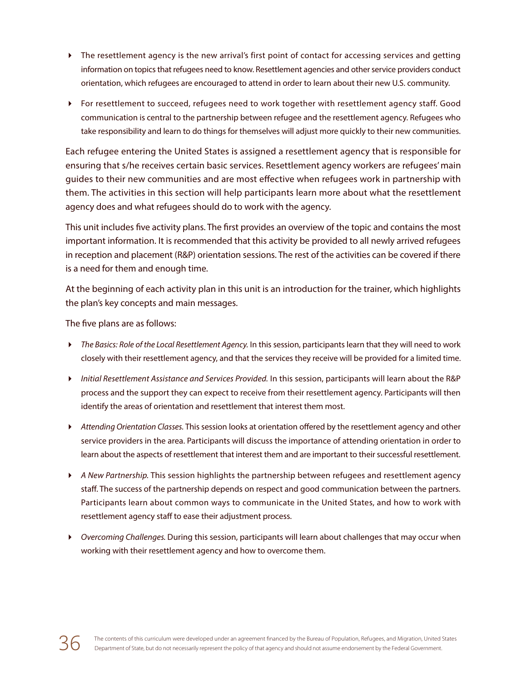- The resettlement agency is the new arrival's first point of contact for accessing services and getting information on topics that refugees need to know. Resettlement agencies and other service providers conduct orientation, which refugees are encouraged to attend in order to learn about their new U.S. community.
- For resettlement to succeed, refugees need to work together with resettlement agency staff. Good communication is central to the partnership between refugee and the resettlement agency. Refugees who take responsibility and learn to do things for themselves will adjust more quickly to their new communities.

Each refugee entering the United States is assigned a resettlement agency that is responsible for ensuring that s/he receives certain basic services. Resettlement agency workers are refugees' main guides to their new communities and are most effective when refugees work in partnership with them. The activities in this section will help participants learn more about what the resettlement agency does and what refugees should do to work with the agency.

This unit includes five activity plans. The first provides an overview of the topic and contains the most important information. It is recommended that this activity be provided to all newly arrived refugees in reception and placement (R&P) orientation sessions. The rest of the activities can be covered if there is a need for them and enough time.

At the beginning of each activity plan in this unit is an introduction for the trainer*,* which highlights the plan's key concepts and main messages.

The five plans are as follows:

- *The Basics: Role of the Local Resettlement Agency.* In this session, participants learn that they will need to work closely with their resettlement agency, and that the services they receive will be provided for a limited time.
- *Initial Resettlement Assistance and Services Provided.* In this session, participants will learn about the R&P process and the support they can expect to receive from their resettlement agency. Participants will then identify the areas of orientation and resettlement that interest them most.
- *Attending Orientation Classes.* This session looks at orientation offered by the resettlement agency and other service providers in the area. Participants will discuss the importance of attending orientation in order to learn about the aspects of resettlement that interest them and are important to their successful resettlement.
- *A New Partnership.* This session highlights the partnership between refugees and resettlement agency staff. The success of the partnership depends on respect and good communication between the partners. Participants learn about common ways to communicate in the United States, and how to work with resettlement agency staff to ease their adjustment process.
- *Overcoming Challenges.* During this session, participants will learn about challenges that may occur when working with their resettlement agency and how to overcome them.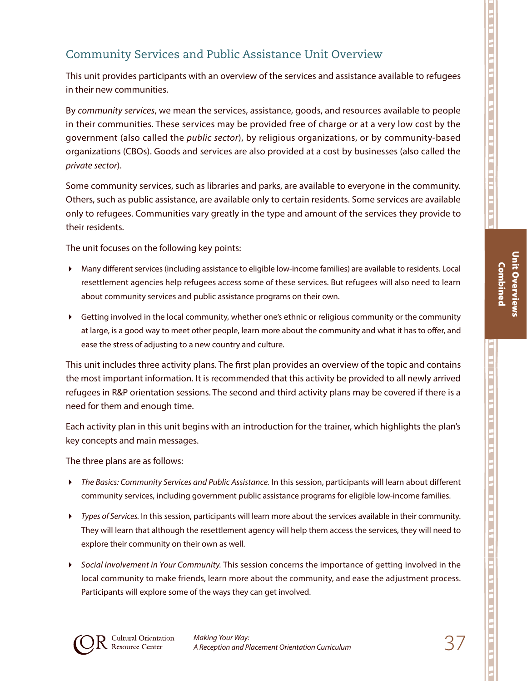## Community Services and Public Assistance Unit Overview

This unit provides participants with an overview of the services and assistance available to refugees in their new communities.

By *community services*, we mean the services, assistance, goods, and resources available to people in their communities. These services may be provided free of charge or at a very low cost by the government (also called the *public sector*), by religious organizations, or by community-based organizations (CBOs). Goods and services are also provided at a cost by businesses (also called the *private sector*).

Some community services, such as libraries and parks, are available to everyone in the community. Others, such as public assistance, are available only to certain residents. Some services are available only to refugees. Communities vary greatly in the type and amount of the services they provide to their residents.

The unit focuses on the following key points:

- Many different services (including assistance to eligible low-income families) are available to residents. Local resettlement agencies help refugees access some of these services. But refugees will also need to learn about community services and public assistance programs on their own.
- Getting involved in the local community, whether one's ethnic or religious community or the community at large, is a good way to meet other people, learn more about the community and what it has to offer, and ease the stress of adjusting to a new country and culture.

This unit includes three activity plans. The first plan provides an overview of the topic and contains the most important information. It is recommended that this activity be provided to all newly arrived refugees in R&P orientation sessions. The second and third activity plans may be covered if there is a need for them and enough time.

Each activity plan in this unit begins with an introduction for the trainer, which highlights the plan's key concepts and main messages.

The three plans are as follows:

- *The Basics: Community Services and Public Assistance.* In this session, participants will learn about different community services, including government public assistance programs for eligible low-income families.
- *Types of Services.* In this session, participants will learn more about the services available in their community. They will learn that although the resettlement agency will help them access the services, they will need to explore their community on their own as well.
- *Social Involvement in Your Community.* This session concerns the importance of getting involved in the local community to make friends, learn more about the community, and ease the adjustment process. Participants will explore some of the ways they can get involved.

וג מו זה הו הו הו הו הו הו של הם הו הת הו הם הו הם הו הם הו ה

Unit Overviews Combined

**Unit Overviews Combined** 

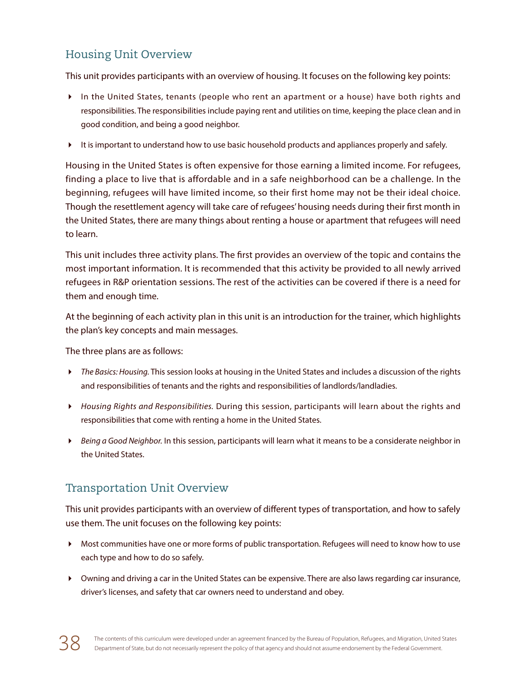# Housing Unit Overview

This unit provides participants with an overview of housing. It focuses on the following key points:

- In the United States, tenants (people who rent an apartment or a house) have both rights and responsibilities. The responsibilities include paying rent and utilities on time, keeping the place clean and in good condition, and being a good neighbor.
- It is important to understand how to use basic household products and appliances properly and safely.

Housing in the United States is often expensive for those earning a limited income. For refugees, finding a place to live that is affordable and in a safe neighborhood can be a challenge. In the beginning, refugees will have limited income, so their first home may not be their ideal choice. Though the resettlement agency will take care of refugees' housing needs during their first month in the United States, there are many things about renting a house or apartment that refugees will need to learn.

This unit includes three activity plans. The first provides an overview of the topic and contains the most important information. It is recommended that this activity be provided to all newly arrived refugees in R&P orientation sessions. The rest of the activities can be covered if there is a need for them and enough time.

At the beginning of each activity plan in this unit is an introduction for the trainer, which highlights the plan's key concepts and main messages.

The three plans are as follows:

- *The Basics: Housing.* This session looks at housing in the United States and includes a discussion of the rights and responsibilities of tenants and the rights and responsibilities of landlords/landladies.
- *Housing Rights and Responsibilities.* During this session, participants will learn about the rights and responsibilities that come with renting a home in the United States.
- *Being a Good Neighbor.* In this session, participants will learn what it means to be a considerate neighbor in the United States.

## Transportation Unit Overview

This unit provides participants with an overview of different types of transportation, and how to safely use them. The unit focuses on the following key points:

- Most communities have one or more forms of public transportation. Refugees will need to know how to use each type and how to do so safely.
- Owning and driving a car in the United States can be expensive. There are also laws regarding car insurance, driver's licenses, and safety that car owners need to understand and obey.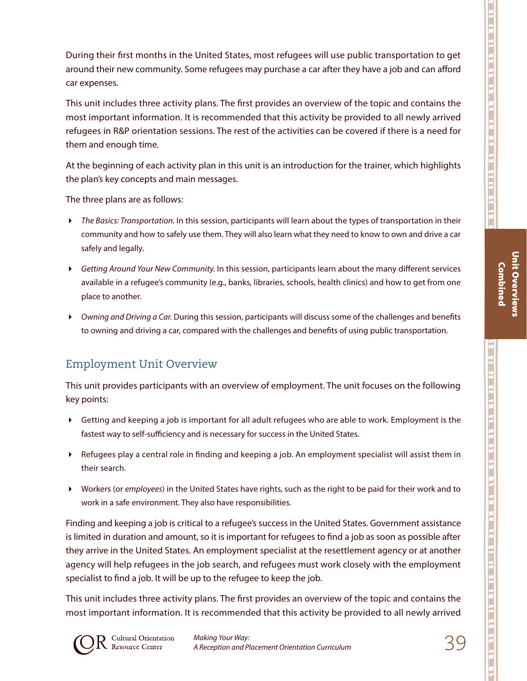Unit Overviews Combined

**Unit Overviews** 

During their first months in the United States, most refugees will use public transportation to get around their new community. Some refugees may purchase a car after they have a job and can afford car expenses.

This unit includes three activity plans. The first provides an overview of the topic and contains the most important information. It is recommended that this activity be provided to all newly arrived refugees in R&P orientation sessions. The rest of the activities can be covered if there is a need for them and enough time.

At the beginning of each activity plan in this unit is an introduction for the trainer, which highlights the plan's key concepts and main messages.

The three plans are as follows:

- *The Basics: Transportation.* In this session, participants will learn about the types of transportation in their community and how to safely use them. They will also learn what they need to know to own and drive a car safely and legally.
- *Getting Around Your New Community.* In this session, participants learn about the many different services available in a refugee's community (e.g., banks, libraries, schools, health clinics) and how to get from one place to another.
- *Owning and Driving a Car.* During this session, participants will discuss some of the challenges and benefits to owning and driving a car, compared with the challenges and benefits of using public transportation.

## Employment Unit Overview

This unit provides participants with an overview of employment. The unit focuses on the following key points:

- Getting and keeping a job is important for all adult refugees who are able to work. Employment is the fastest way to self-sufficiency and is necessary for success in the United States.
- Refugees play a central role in finding and keeping a job. An employment specialist will assist them in their search.
- Workers (or *employees*) in the United States have rights, such as the right to be paid for their work and to work in a safe environment. They also have responsibilities.

Finding and keeping a job is critical to a refugee's success in the United States. Government assistance is limited in duration and amount, so it is important for refugees to find a job as soon as possible after they arrive in the United States. An employment specialist at the resettlement agency or at another agency will help refugees in the job search, and refugees must work closely with the employment specialist to find a job. It will be up to the refugee to keep the job.

This unit includes three activity plans. The first provides an overview of the topic and contains the most important information. It is recommended that this activity be provided to all newly arrived

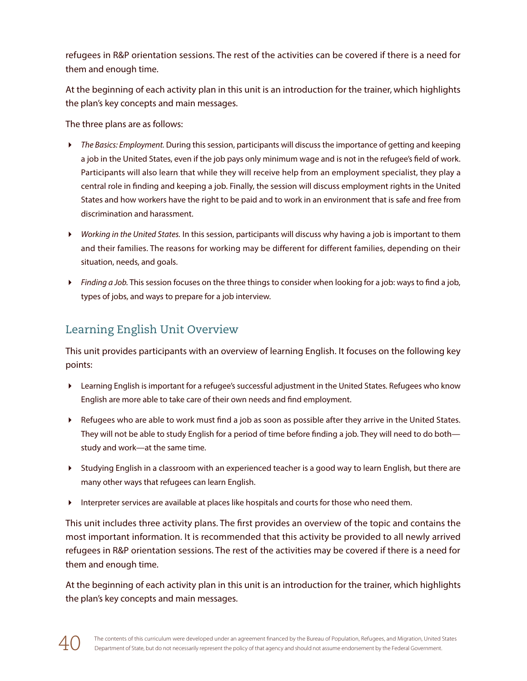refugees in R&P orientation sessions. The rest of the activities can be covered if there is a need for them and enough time.

At the beginning of each activity plan in this unit is an introduction for the trainer, which highlights the plan's key concepts and main messages.

The three plans are as follows:

- *The Basics: Employment.* During this session, participants will discuss the importance of getting and keeping a job in the United States, even if the job pays only minimum wage and is not in the refugee's field of work. Participants will also learn that while they will receive help from an employment specialist, they play a central role in finding and keeping a job. Finally, the session will discuss employment rights in the United States and how workers have the right to be paid and to work in an environment that is safe and free from discrimination and harassment.
- *Working in the United States.* In this session, participants will discuss why having a job is important to them and their families. The reasons for working may be different for different families, depending on their situation, needs, and goals.
- *Finding a Job.* This session focuses on the three things to consider when looking for a job: ways to find a job, types of jobs, and ways to prepare for a job interview.

# Learning English Unit Overview

This unit provides participants with an overview of learning English. It focuses on the following key points:

- Learning English is important for a refugee's successful adjustment in the United States. Refugees who know English are more able to take care of their own needs and find employment.
- Refugees who are able to work must find a job as soon as possible after they arrive in the United States. They will not be able to study English for a period of time before finding a job. They will need to do both study and work—at the same time.
- Studying English in a classroom with an experienced teacher is a good way to learn English, but there are many other ways that refugees can learn English.
- Interpreter services are available at places like hospitals and courts for those who need them.

This unit includes three activity plans. The first provides an overview of the topic and contains the most important information. It is recommended that this activity be provided to all newly arrived refugees in R&P orientation sessions. The rest of the activities may be covered if there is a need for them and enough time.

At the beginning of each activity plan in this unit is an introduction for the trainer, which highlights the plan's key concepts and main messages.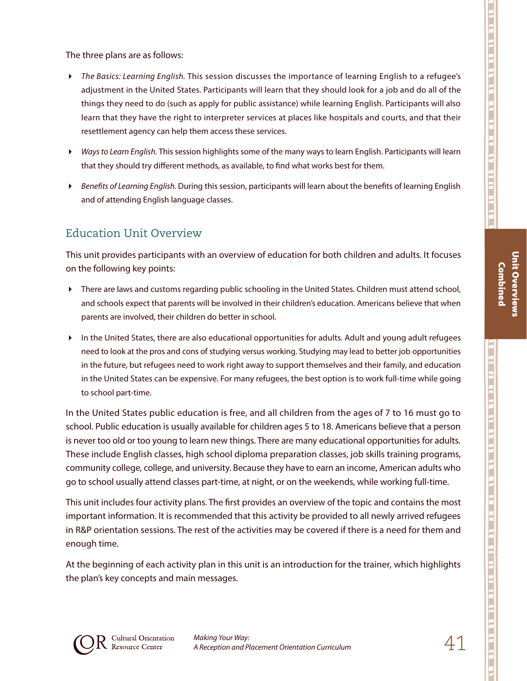Unit Overviews Combined

**Unit Overviews Combined** 

The three plans are as follows:

- *The Basics: Learning English.* This session discusses the importance of learning English to a refugee's adjustment in the United States. Participants will learn that they should look for a job and do all of the things they need to do (such as apply for public assistance) while learning English. Participants will also learn that they have the right to interpreter services at places like hospitals and courts, and that their resettlement agency can help them access these services.
- *Ways to Learn English.* This session highlights some of the many ways to learn English. Participants will learn that they should try different methods, as available, to find what works best for them.
- *Benefits of Learning English.* During this session, participants will learn about the benefits of learning English and of attending English language classes.

### Education Unit Overview

This unit provides participants with an overview of education for both children and adults. It focuses on the following key points:

- There are laws and customs regarding public schooling in the United States. Children must attend school, and schools expect that parents will be involved in their children's education. Americans believe that when parents are involved, their children do better in school.
- In the United States, there are also educational opportunities for adults. Adult and young adult refugees need to look at the pros and cons of studying versus working. Studying may lead to better job opportunities in the future, but refugees need to work right away to support themselves and their family, and education in the United States can be expensive. For many refugees, the best option is to work full-time while going to school part-time.

In the United States public education is free, and all children from the ages of 7 to 16 must go to school. Public education is usually available for children ages 5 to 18. Americans believe that a person is never too old or too young to learn new things. There are many educational opportunities for adults. These include English classes, high school diploma preparation classes, job skills training programs, community college, college, and university. Because they have to earn an income, American adults who go to school usually attend classes part-time, at night, or on the weekends, while working full-time.

This unit includes four activity plans. The first provides an overview of the topic and contains the most important information. It is recommended that this activity be provided to all newly arrived refugees in R&P orientation sessions. The rest of the activities may be covered if there is a need for them and enough time.

At the beginning of each activity plan in this unit is an introduction for the trainer*,* which highlights the plan's key concepts and main messages.

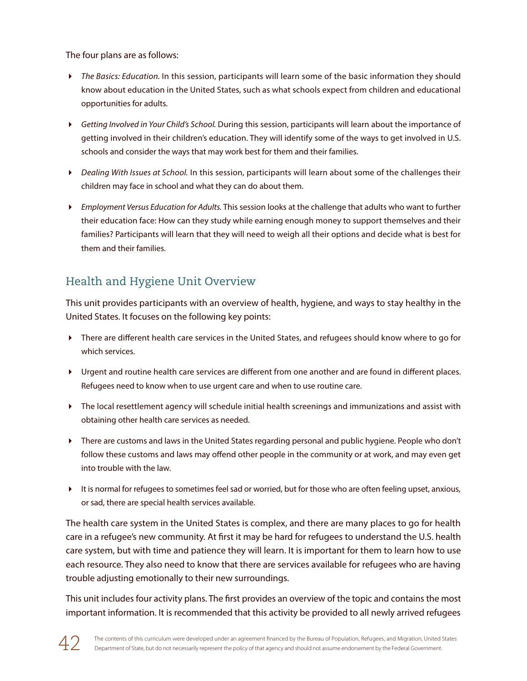The four plans are as follows:

- *The Basics: Education.* In this session, participants will learn some of the basic information they should know about education in the United States, such as what schools expect from children and educational opportunities for adults.
- *Getting Involved in Your Child's School.* During this session, participants will learn about the importance of getting involved in their children's education. They will identify some of the ways to get involved in U.S. schools and consider the ways that may work best for them and their families.
- *Dealing With Issues at School.* In this session, participants will learn about some of the challenges their children may face in school and what they can do about them.
- *Employment Versus Education for Adults.* This session looks at the challenge that adults who want to further their education face: How can they study while earning enough money to support themselves and their families? Participants will learn that they will need to weigh all their options and decide what is best for them and their families.

# Health and Hygiene Unit Overview

This unit provides participants with an overview of health, hygiene, and ways to stay healthy in the United States. It focuses on the following key points:

- There are different health care services in the United States, and refugees should know where to go for which services.
- Urgent and routine health care services are different from one another and are found in different places. Refugees need to know when to use urgent care and when to use routine care.
- The local resettlement agency will schedule initial health screenings and immunizations and assist with obtaining other health care services as needed.
- There are customs and laws in the United States regarding personal and public hygiene. People who don't follow these customs and laws may offend other people in the community or at work, and may even get into trouble with the law.
- It is normal for refugees to sometimes feel sad or worried, but for those who are often feeling upset, anxious, or sad, there are special health services available.

The health care system in the United States is complex, and there are many places to go for health care in a refugee's new community. At first it may be hard for refugees to understand the U.S. health care system, but with time and patience they will learn. It is important for them to learn how to use each resource. They also need to know that there are services available for refugees who are having trouble adjusting emotionally to their new surroundings.

This unit includes four activity plans. The first provides an overview of the topic and contains the most important information. It is recommended that this activity be provided to all newly arrived refugees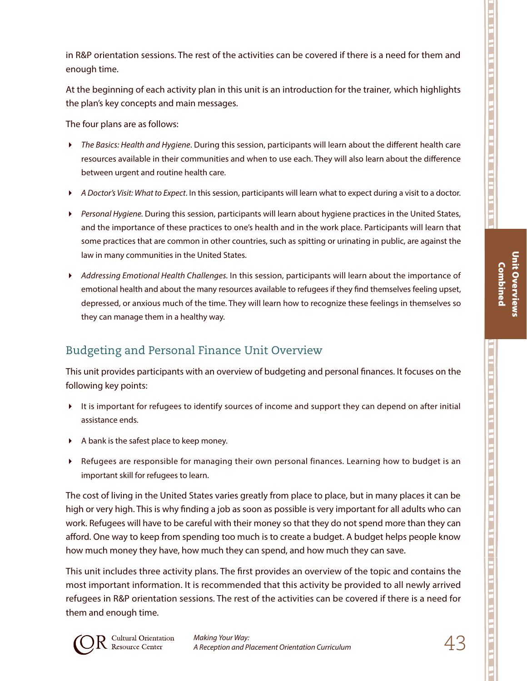in R&P orientation sessions. The rest of the activities can be covered if there is a need for them and enough time.

At the beginning of each activity plan in this unit is an introduction for the trainer*,* which highlights the plan's key concepts and main messages.

The four plans are as follows:

- *The Basics: Health and Hygiene*. During this session, participants will learn about the different health care resources available in their communities and when to use each. They will also learn about the difference between urgent and routine health care.
- *A Doctor's Visit: What to Expect*. In this session, participants will learn what to expect during a visit to a doctor.
- *Personal Hygiene.* During this session, participants will learn about hygiene practices in the United States, and the importance of these practices to one's health and in the work place. Participants will learn that some practices that are common in other countries, such as spitting or urinating in public, are against the law in many communities in the United States.
- *Addressing Emotional Health Challenges.* In this session, participants will learn about the importance of emotional health and about the many resources available to refugees if they find themselves feeling upset, depressed, or anxious much of the time. They will learn how to recognize these feelings in themselves so they can manage them in a healthy way.

# Budgeting and Personal Finance Unit Overview

This unit provides participants with an overview of budgeting and personal finances. It focuses on the following key points:

- It is important for refugees to identify sources of income and support they can depend on after initial assistance ends.
- $\blacktriangleright$  A bank is the safest place to keep money.
- Refugees are responsible for managing their own personal finances. Learning how to budget is an important skill for refugees to learn.

The cost of living in the United States varies greatly from place to place, but in many places it can be high or very high. This is why finding a job as soon as possible is very important for all adults who can work. Refugees will have to be careful with their money so that they do not spend more than they can afford. One way to keep from spending too much is to create a budget. A budget helps people know how much money they have, how much they can spend, and how much they can save.

This unit includes three activity plans. The first provides an overview of the topic and contains the most important information. It is recommended that this activity be provided to all newly arrived refugees in R&P orientation sessions. The rest of the activities can be covered if there is a need for them and enough time.



Unit Overviews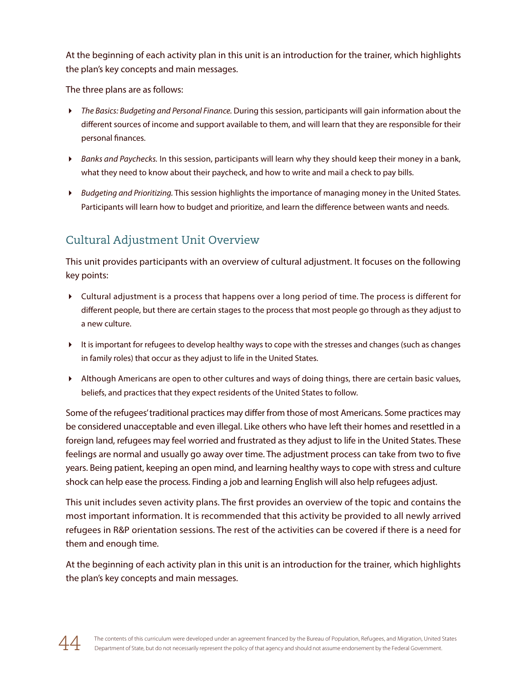At the beginning of each activity plan in this unit is an introduction for the trainer, which highlights the plan's key concepts and main messages.

The three plans are as follows:

- *The Basics: Budgeting and Personal Finance.* During this session, participants will gain information about the different sources of income and support available to them, and will learn that they are responsible for their personal finances.
- *Banks and Paychecks.* In this session, participants will learn why they should keep their money in a bank, what they need to know about their paycheck, and how to write and mail a check to pay bills.
- *Budgeting and Prioritizing.* This session highlights the importance of managing money in the United States. Participants will learn how to budget and prioritize, and learn the difference between wants and needs.

# Cultural Adjustment Unit Overview

This unit provides participants with an overview of cultural adjustment. It focuses on the following key points:

- Cultural adjustment is a process that happens over a long period of time. The process is different for different people, but there are certain stages to the process that most people go through as they adjust to a new culture.
- It is important for refugees to develop healthy ways to cope with the stresses and changes (such as changes in family roles) that occur as they adjust to life in the United States.
- Although Americans are open to other cultures and ways of doing things, there are certain basic values, beliefs, and practices that they expect residents of the United States to follow.

Some of the refugees' traditional practices may differ from those of most Americans. Some practices may be considered unacceptable and even illegal. Like others who have left their homes and resettled in a foreign land, refugees may feel worried and frustrated as they adjust to life in the United States. These feelings are normal and usually go away over time. The adjustment process can take from two to five years. Being patient, keeping an open mind, and learning healthy ways to cope with stress and culture shock can help ease the process. Finding a job and learning English will also help refugees adjust.

This unit includes seven activity plans. The first provides an overview of the topic and contains the most important information. It is recommended that this activity be provided to all newly arrived refugees in R&P orientation sessions. The rest of the activities can be covered if there is a need for them and enough time.

At the beginning of each activity plan in this unit is an introduction for the trainer*,* which highlights the plan's key concepts and main messages.

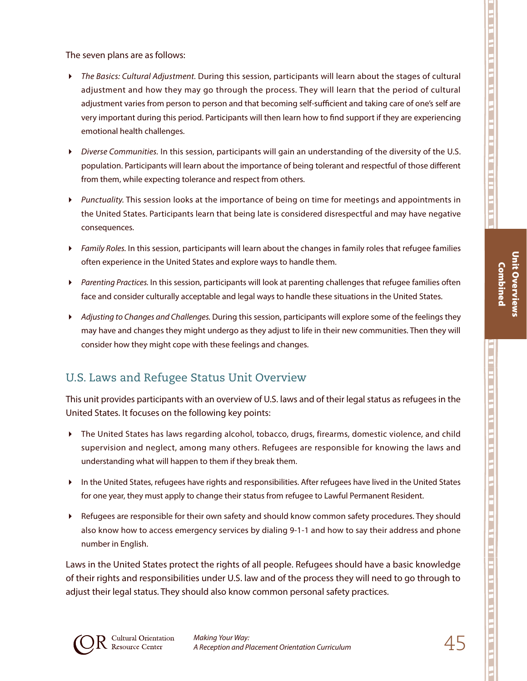Unit Overviews Combined

**Unit Overviews Combined** 

The seven plans are as follows:

- *The Basics: Cultural Adjustment.* During this session, participants will learn about the stages of cultural adjustment and how they may go through the process. They will learn that the period of cultural adjustment varies from person to person and that becoming self-sufficient and taking care of one's self are very important during this period. Participants will then learn how to find support if they are experiencing emotional health challenges.
- *Diverse Communities.* In this session, participants will gain an understanding of the diversity of the U.S. population. Participants will learn about the importance of being tolerant and respectful of those different from them, while expecting tolerance and respect from others.
- *Punctuality.* This session looks at the importance of being on time for meetings and appointments in the United States. Participants learn that being late is considered disrespectful and may have negative consequences.
- *Family Roles.* In this session, participants will learn about the changes in family roles that refugee families often experience in the United States and explore ways to handle them.
- *Parenting Practices.* In this session, participants will look at parenting challenges that refugee families often face and consider culturally acceptable and legal ways to handle these situations in the United States.
- *Adjusting to Changes and Challenges.* During this session, participants will explore some of the feelings they may have and changes they might undergo as they adjust to life in their new communities. Then they will consider how they might cope with these feelings and changes.

### U.S. Laws and Refugee Status Unit Overview

This unit provides participants with an overview of U.S. laws and of their legal status as refugees in the United States. It focuses on the following key points:

- The United States has laws regarding alcohol, tobacco, drugs, firearms, domestic violence, and child supervision and neglect, among many others. Refugees are responsible for knowing the laws and understanding what will happen to them if they break them.
- In the United States, refugees have rights and responsibilities. After refugees have lived in the United States for one year, they must apply to change their status from refugee to Lawful Permanent Resident.
- Refugees are responsible for their own safety and should know common safety procedures. They should also know how to access emergency services by dialing 9-1-1 and how to say their address and phone number in English.

Laws in the United States protect the rights of all people. Refugees should have a basic knowledge of their rights and responsibilities under U.S. law and of the process they will need to go through to adjust their legal status. They should also know common personal safety practices.

ות בנו זה הו בני נו בר בני הם את הו בני הו בני הו בני הו בני הו בני הו בני הו בני הו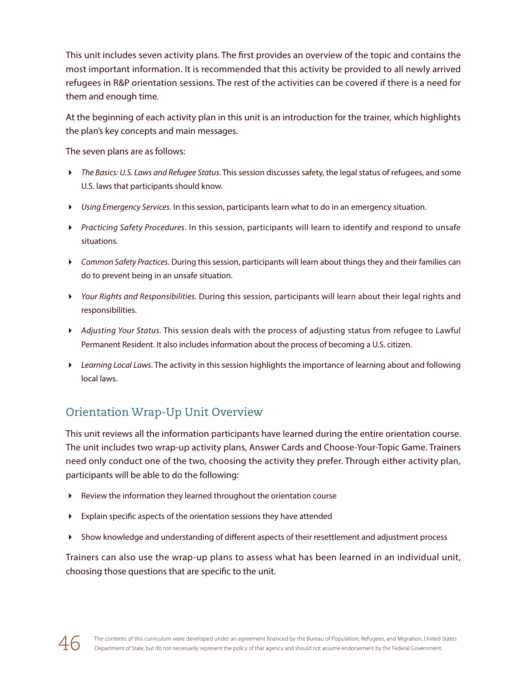This unit includes seven activity plans. The first provides an overview of the topic and contains the most important information. It is recommended that this activity be provided to all newly arrived refugees in R&P orientation sessions. The rest of the activities can be covered if there is a need for them and enough time.

At the beginning of each activity plan in this unit is an introduction for the trainer*,* which highlights the plan's key concepts and main messages.

The seven plans are as follows:

- *The Basics: U.S. Laws and Refugee Status*. This session discusses safety, the legal status of refugees, and some U.S. laws that participants should know.
- *Using Emergency Services*. In this session, participants learn what to do in an emergency situation.
- *Practicing Safety Procedures*. In this session, participants will learn to identify and respond to unsafe situations.
- *Common Safety Practices*. During this session, participants will learn about things they and their families can do to prevent being in an unsafe situation.
- *Your Rights and Responsibilities*. During this session, participants will learn about their legal rights and responsibilities.
- *Adjusting Your Status*. This session deals with the process of adjusting status from refugee to Lawful Permanent Resident. It also includes information about the process of becoming a U.S. citizen.
- *Learning Local Laws*. The activity in this session highlights the importance of learning about and following local laws.

# Orientation Wrap-Up Unit Overview

This unit reviews all the information participants have learned during the entire orientation course. The unit includes two wrap-up activity plans, Answer Cards and Choose-Your-Topic Game. Trainers need only conduct one of the two, choosing the activity they prefer. Through either activity plan, participants will be able to do the following:

- Review the information they learned throughout the orientation course
- Explain specific aspects of the orientation sessions they have attended
- Show knowledge and understanding of different aspects of their resettlement and adjustment process

Trainers can also use the wrap-up plans to assess what has been learned in an individual unit, choosing those questions that are specific to the unit.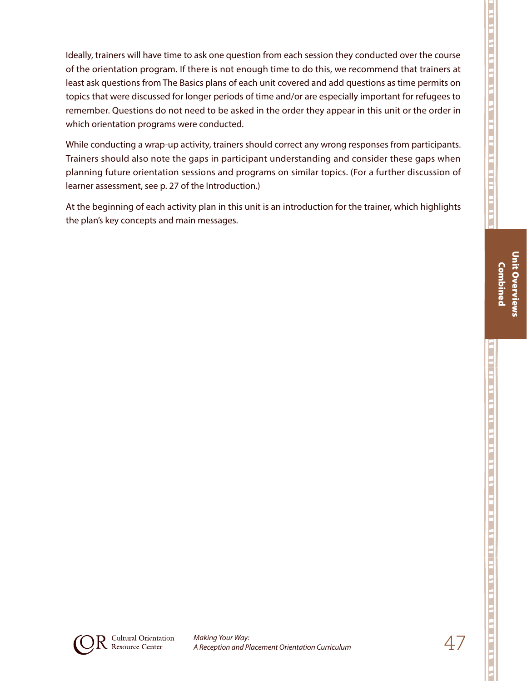Ideally, trainers will have time to ask one question from each session they conducted over the course of the orientation program. If there is not enough time to do this, we recommend that trainers at least ask questions from The Basics plans of each unit covered and add questions as time permits on topics that were discussed for longer periods of time and/or are especially important for refugees to remember. Questions do not need to be asked in the order they appear in this unit or the order in which orientation programs were conducted.

While conducting a wrap-up activity, trainers should correct any wrong responses from participants. Trainers should also note the gaps in participant understanding and consider these gaps when planning future orientation sessions and programs on similar topics. (For a further discussion of learner assessment, see p. 27 of the Introduction.)

At the beginning of each activity plan in this unit is an introduction for the trainer, which highlights the plan's key concepts and main messages.